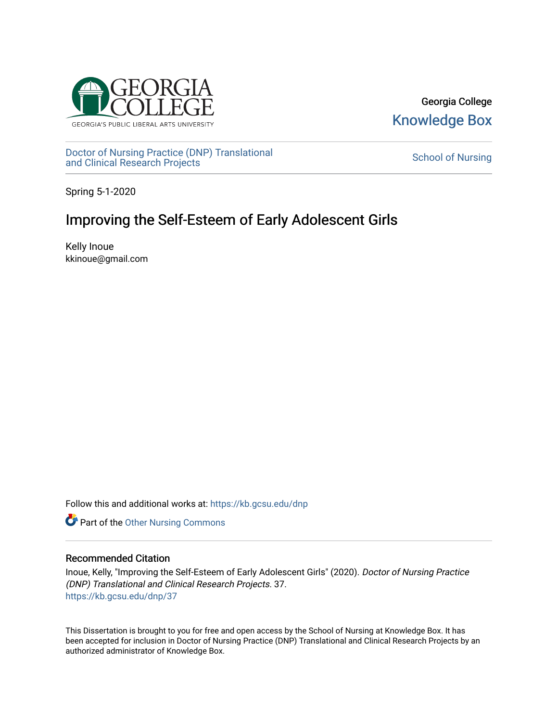

Georgia College [Knowledge Box](https://kb.gcsu.edu/) 

[Doctor of Nursing Practice \(DNP\) Translational](https://kb.gcsu.edu/dnp)  Doctor of Nursing Practice (DNP) Translational control of Nursing [School of Nursing](https://kb.gcsu.edu/snc) and Clinical Research Projects

Spring 5-1-2020

# Improving the Self-Esteem of Early Adolescent Girls

Kelly Inoue kkinoue@gmail.com

Follow this and additional works at: [https://kb.gcsu.edu/dnp](https://kb.gcsu.edu/dnp?utm_source=kb.gcsu.edu%2Fdnp%2F37&utm_medium=PDF&utm_campaign=PDFCoverPages) 

**Part of the [Other Nursing Commons](http://network.bepress.com/hgg/discipline/729?utm_source=kb.gcsu.edu%2Fdnp%2F37&utm_medium=PDF&utm_campaign=PDFCoverPages)** 

# Recommended Citation

Inoue, Kelly, "Improving the Self-Esteem of Early Adolescent Girls" (2020). Doctor of Nursing Practice (DNP) Translational and Clinical Research Projects. 37. [https://kb.gcsu.edu/dnp/37](https://kb.gcsu.edu/dnp/37?utm_source=kb.gcsu.edu%2Fdnp%2F37&utm_medium=PDF&utm_campaign=PDFCoverPages) 

This Dissertation is brought to you for free and open access by the School of Nursing at Knowledge Box. It has been accepted for inclusion in Doctor of Nursing Practice (DNP) Translational and Clinical Research Projects by an authorized administrator of Knowledge Box.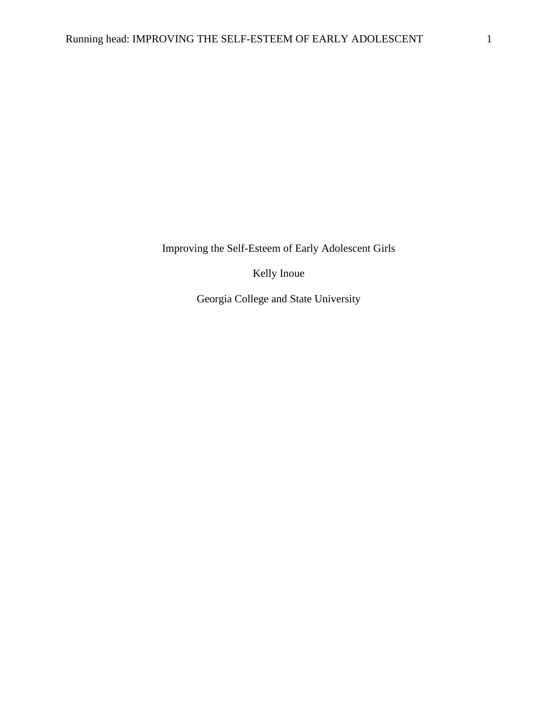Improving the Self-Esteem of Early Adolescent Girls

Kelly Inoue

Georgia College and State University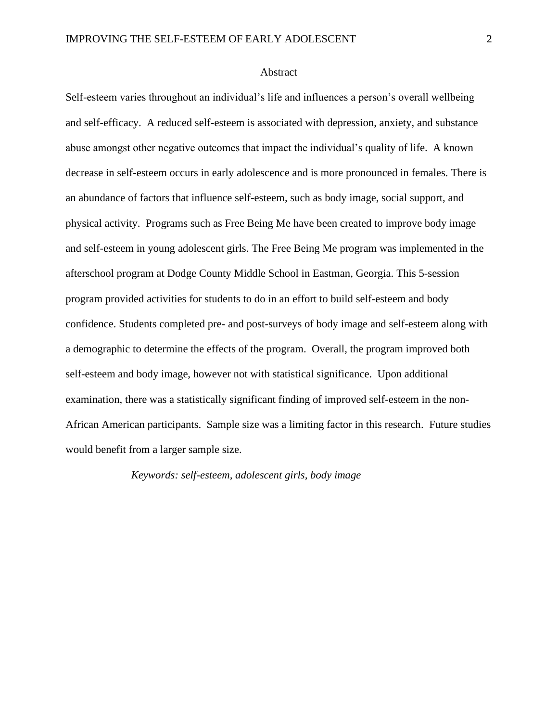# Abstract

Self-esteem varies throughout an individual's life and influences a person's overall wellbeing and self-efficacy. A reduced self-esteem is associated with depression, anxiety, and substance abuse amongst other negative outcomes that impact the individual's quality of life. A known decrease in self-esteem occurs in early adolescence and is more pronounced in females. There is an abundance of factors that influence self-esteem, such as body image, social support, and physical activity. Programs such as Free Being Me have been created to improve body image and self-esteem in young adolescent girls. The Free Being Me program was implemented in the afterschool program at Dodge County Middle School in Eastman, Georgia. This 5-session program provided activities for students to do in an effort to build self-esteem and body confidence. Students completed pre- and post-surveys of body image and self-esteem along with a demographic to determine the effects of the program. Overall, the program improved both self-esteem and body image, however not with statistical significance. Upon additional examination, there was a statistically significant finding of improved self-esteem in the non-African American participants. Sample size was a limiting factor in this research. Future studies would benefit from a larger sample size.

*Keywords: self-esteem, adolescent girls, body image*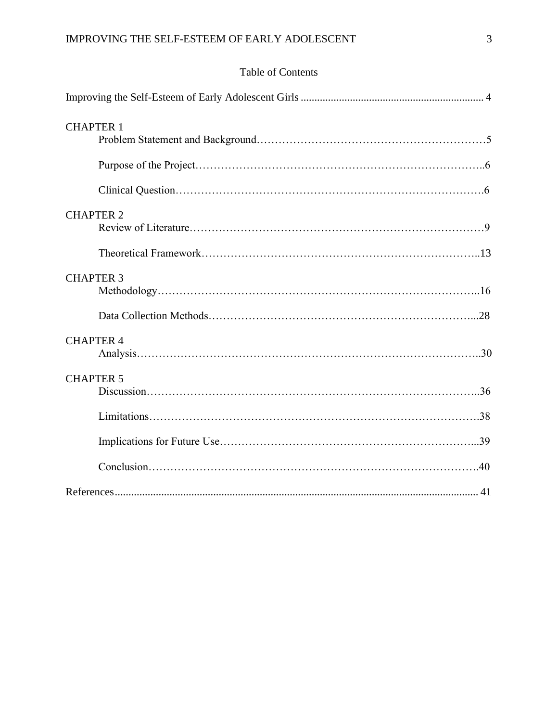# Table of Contents

| <b>CHAPTER 1</b> |
|------------------|
|                  |
|                  |
| <b>CHAPTER 2</b> |
|                  |
| <b>CHAPTER 3</b> |
|                  |
| <b>CHAPTER 4</b> |
| <b>CHAPTER 5</b> |
|                  |
|                  |
|                  |
|                  |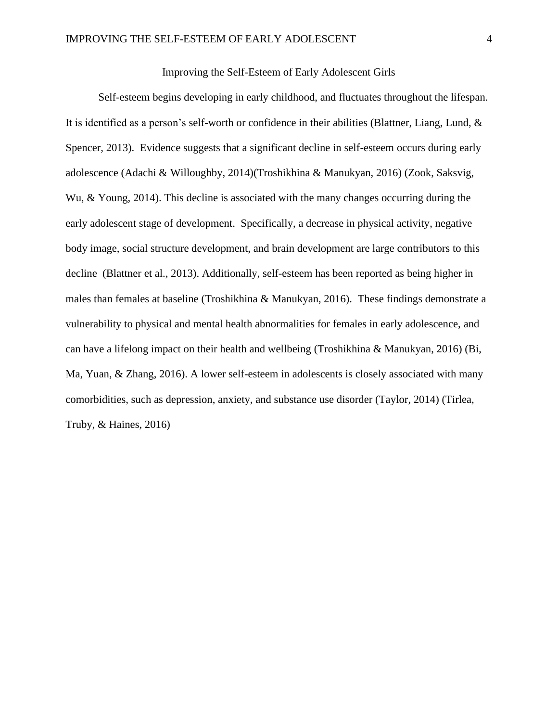# Improving the Self-Esteem of Early Adolescent Girls

<span id="page-4-0"></span>Self-esteem begins developing in early childhood, and fluctuates throughout the lifespan. It is identified as a person's self-worth or confidence in their abilities (Blattner, Liang, Lund, & Spencer, 2013). Evidence suggests that a significant decline in self-esteem occurs during early adolescence (Adachi & Willoughby, 2014)(Troshikhina & Manukyan, 2016) (Zook, Saksvig, Wu, & Young, 2014). This decline is associated with the many changes occurring during the early adolescent stage of development. Specifically, a decrease in physical activity, negative body image, social structure development, and brain development are large contributors to this decline (Blattner et al., 2013). Additionally, self-esteem has been reported as being higher in males than females at baseline (Troshikhina & Manukyan, 2016). These findings demonstrate a vulnerability to physical and mental health abnormalities for females in early adolescence, and can have a lifelong impact on their health and wellbeing (Troshikhina & Manukyan, 2016) (Bi, Ma, Yuan, & Zhang, 2016). A lower self-esteem in adolescents is closely associated with many comorbidities, such as depression, anxiety, and substance use disorder (Taylor, 2014) (Tirlea, Truby, & Haines, 2016)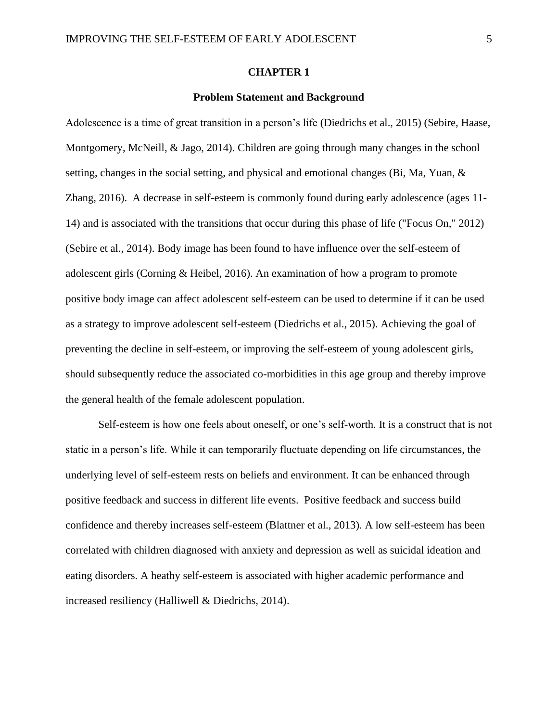#### **CHAPTER 1**

#### **Problem Statement and Background**

Adolescence is a time of great transition in a person's life (Diedrichs et al., 2015) (Sebire, Haase, Montgomery, McNeill, & Jago, 2014). Children are going through many changes in the school setting, changes in the social setting, and physical and emotional changes (Bi, Ma, Yuan, & Zhang, 2016). A decrease in self-esteem is commonly found during early adolescence (ages 11- 14) and is associated with the transitions that occur during this phase of life ("Focus On," 2012) (Sebire et al., 2014). Body image has been found to have influence over the self-esteem of adolescent girls (Corning & Heibel, 2016). An examination of how a program to promote positive body image can affect adolescent self-esteem can be used to determine if it can be used as a strategy to improve adolescent self-esteem (Diedrichs et al., 2015). Achieving the goal of preventing the decline in self-esteem, or improving the self-esteem of young adolescent girls, should subsequently reduce the associated co-morbidities in this age group and thereby improve the general health of the female adolescent population.

Self-esteem is how one feels about oneself, or one's self-worth. It is a construct that is not static in a person's life. While it can temporarily fluctuate depending on life circumstances, the underlying level of self-esteem rests on beliefs and environment. It can be enhanced through positive feedback and success in different life events. Positive feedback and success build confidence and thereby increases self-esteem (Blattner et al., 2013). A low self-esteem has been correlated with children diagnosed with anxiety and depression as well as suicidal ideation and eating disorders. A heathy self-esteem is associated with higher academic performance and increased resiliency (Halliwell & Diedrichs, 2014).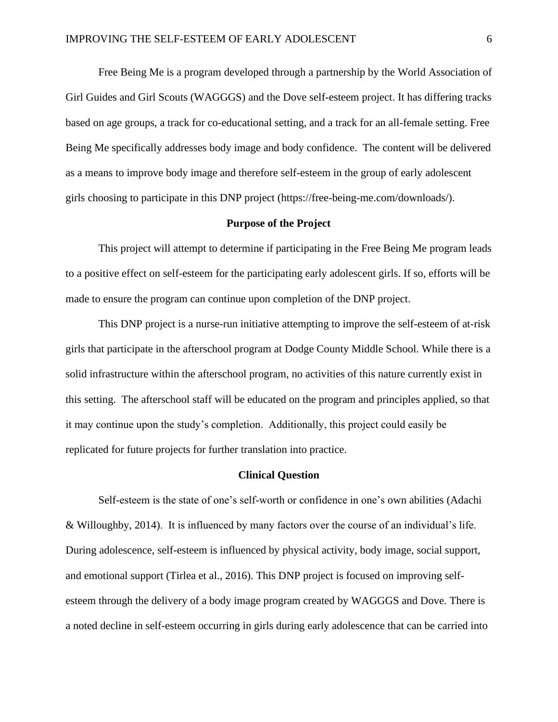Free Being Me is a program developed through a partnership by the World Association of Girl Guides and Girl Scouts (WAGGGS) and the Dove self-esteem project. It has differing tracks based on age groups, a track for co-educational setting, and a track for an all-female setting. Free Being Me specifically addresses body image and body confidence. The content will be delivered as a means to improve body image and therefore self-esteem in the group of early adolescent girls choosing to participate in this DNP project (https://free-being-me.com/downloads/).

### **Purpose of the Project**

This project will attempt to determine if participating in the Free Being Me program leads to a positive effect on self-esteem for the participating early adolescent girls. If so, efforts will be made to ensure the program can continue upon completion of the DNP project.

This DNP project is a nurse-run initiative attempting to improve the self-esteem of at-risk girls that participate in the afterschool program at Dodge County Middle School. While there is a solid infrastructure within the afterschool program, no activities of this nature currently exist in this setting. The afterschool staff will be educated on the program and principles applied, so that it may continue upon the study's completion. Additionally, this project could easily be replicated for future projects for further translation into practice.

#### **Clinical Question**

Self-esteem is the state of one's self-worth or confidence in one's own abilities (Adachi & Willoughby, 2014). It is influenced by many factors over the course of an individual's life. During adolescence, self-esteem is influenced by physical activity, body image, social support, and emotional support (Tirlea et al., 2016). This DNP project is focused on improving selfesteem through the delivery of a body image program created by WAGGGS and Dove. There is a noted decline in self-esteem occurring in girls during early adolescence that can be carried into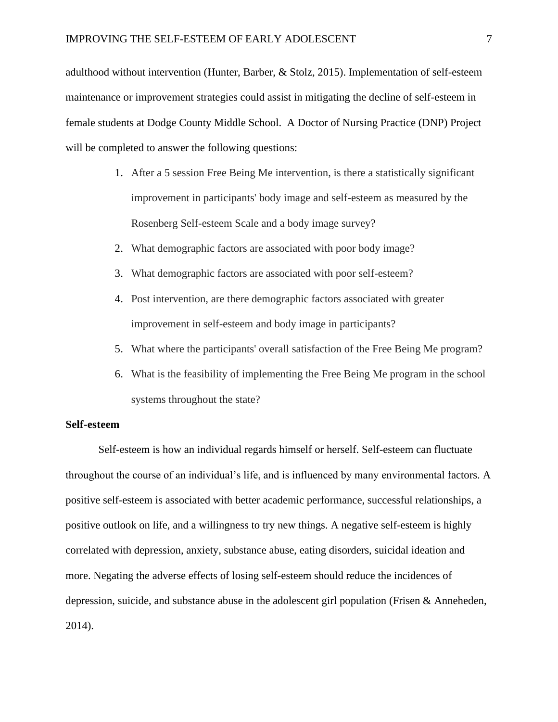adulthood without intervention (Hunter, Barber, & Stolz, 2015). Implementation of self-esteem maintenance or improvement strategies could assist in mitigating the decline of self-esteem in female students at Dodge County Middle School. A Doctor of Nursing Practice (DNP) Project will be completed to answer the following questions:

- 1. After a 5 session Free Being Me intervention, is there a statistically significant improvement in participants' body image and self-esteem as measured by the Rosenberg Self-esteem Scale and a body image survey?
- 2. What demographic factors are associated with poor body image?
- 3. What demographic factors are associated with poor self-esteem?
- 4. Post intervention, are there demographic factors associated with greater improvement in self-esteem and body image in participants?
- 5. What where the participants' overall satisfaction of the Free Being Me program?
- 6. What is the feasibility of implementing the Free Being Me program in the school systems throughout the state?

#### **Self-esteem**

Self-esteem is how an individual regards himself or herself. Self-esteem can fluctuate throughout the course of an individual's life, and is influenced by many environmental factors. A positive self-esteem is associated with better academic performance, successful relationships, a positive outlook on life, and a willingness to try new things. A negative self-esteem is highly correlated with depression, anxiety, substance abuse, eating disorders, suicidal ideation and more. Negating the adverse effects of losing self-esteem should reduce the incidences of depression, suicide, and substance abuse in the adolescent girl population (Frisen & Anneheden, 2014).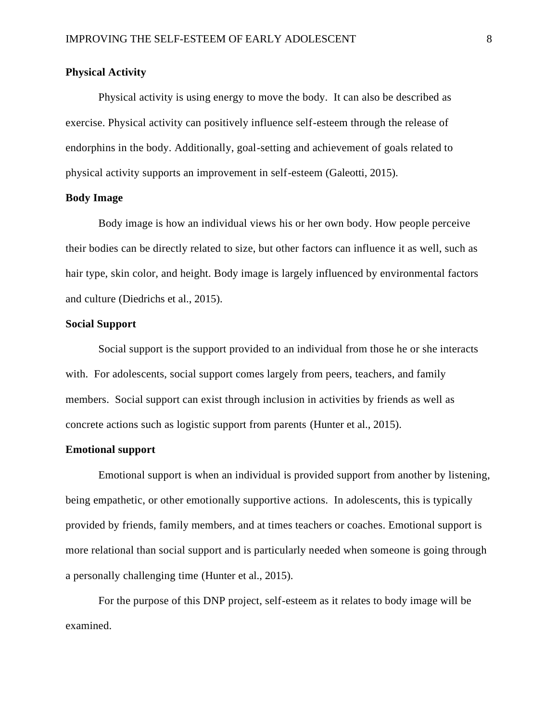# **Physical Activity**

Physical activity is using energy to move the body. It can also be described as exercise. Physical activity can positively influence self-esteem through the release of endorphins in the body. Additionally, goal-setting and achievement of goals related to physical activity supports an improvement in self-esteem (Galeotti, 2015).

# **Body Image**

Body image is how an individual views his or her own body. How people perceive their bodies can be directly related to size, but other factors can influence it as well, such as hair type, skin color, and height. Body image is largely influenced by environmental factors and culture (Diedrichs et al., 2015).

# **Social Support**

Social support is the support provided to an individual from those he or she interacts with. For adolescents, social support comes largely from peers, teachers, and family members. Social support can exist through inclusion in activities by friends as well as concrete actions such as logistic support from parents (Hunter et al., 2015).

# **Emotional support**

Emotional support is when an individual is provided support from another by listening, being empathetic, or other emotionally supportive actions. In adolescents, this is typically provided by friends, family members, and at times teachers or coaches. Emotional support is more relational than social support and is particularly needed when someone is going through a personally challenging time (Hunter et al., 2015).

For the purpose of this DNP project, self-esteem as it relates to body image will be examined.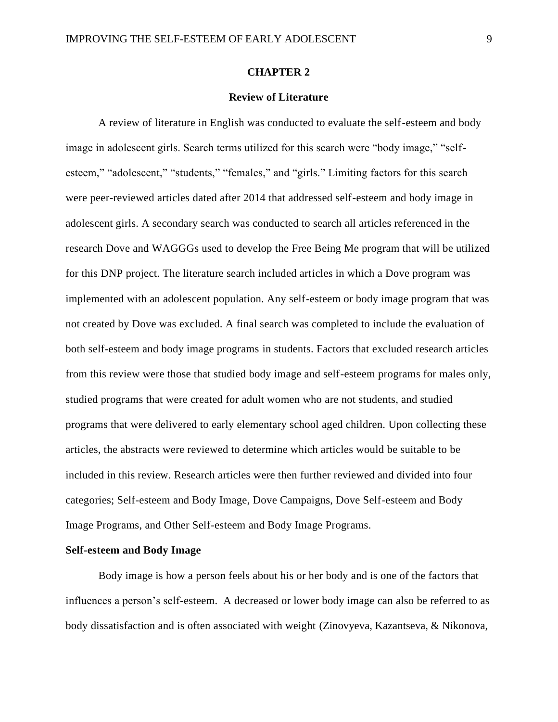#### **CHAPTER 2**

# **Review of Literature**

A review of literature in English was conducted to evaluate the self-esteem and body image in adolescent girls. Search terms utilized for this search were "body image," "selfesteem," "adolescent," "students," "females," and "girls." Limiting factors for this search were peer-reviewed articles dated after 2014 that addressed self-esteem and body image in adolescent girls. A secondary search was conducted to search all articles referenced in the research Dove and WAGGGs used to develop the Free Being Me program that will be utilized for this DNP project. The literature search included articles in which a Dove program was implemented with an adolescent population. Any self-esteem or body image program that was not created by Dove was excluded. A final search was completed to include the evaluation of both self-esteem and body image programs in students. Factors that excluded research articles from this review were those that studied body image and self-esteem programs for males only, studied programs that were created for adult women who are not students, and studied programs that were delivered to early elementary school aged children. Upon collecting these articles, the abstracts were reviewed to determine which articles would be suitable to be included in this review. Research articles were then further reviewed and divided into four categories; Self-esteem and Body Image, Dove Campaigns, Dove Self-esteem and Body Image Programs, and Other Self-esteem and Body Image Programs.

# **Self-esteem and Body Image**

Body image is how a person feels about his or her body and is one of the factors that influences a person's self-esteem. A decreased or lower body image can also be referred to as body dissatisfaction and is often associated with weight (Zinovyeva, Kazantseva, & Nikonova,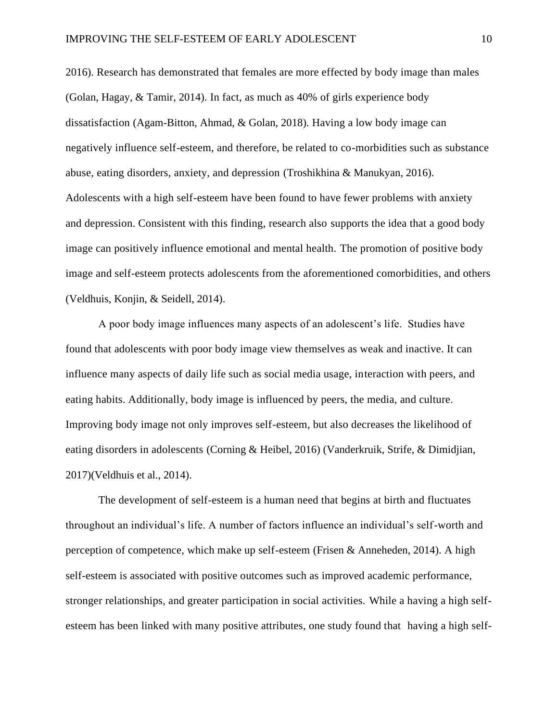2016). Research has demonstrated that females are more effected by body image than males (Golan, Hagay, & Tamir, 2014). In fact, as much as 40% of girls experience body dissatisfaction (Agam-Bitton, Ahmad, & Golan, 2018). Having a low body image can negatively influence self-esteem, and therefore, be related to co-morbidities such as substance abuse, eating disorders, anxiety, and depression (Troshikhina & Manukyan, 2016). Adolescents with a high self-esteem have been found to have fewer problems with anxiety and depression. Consistent with this finding, research also supports the idea that a good body image can positively influence emotional and mental health. The promotion of positive body image and self-esteem protects adolescents from the aforementioned comorbidities, and others (Veldhuis, Konjin, & Seidell, 2014).

A poor body image influences many aspects of an adolescent's life. Studies have found that adolescents with poor body image view themselves as weak and inactive. It can influence many aspects of daily life such as social media usage, interaction with peers, and eating habits. Additionally, body image is influenced by peers, the media, and culture. Improving body image not only improves self-esteem, but also decreases the likelihood of eating disorders in adolescents (Corning & Heibel, 2016) (Vanderkruik, Strife, & Dimidjian, 2017)(Veldhuis et al., 2014).

The development of self-esteem is a human need that begins at birth and fluctuates throughout an individual's life. A number of factors influence an individual's self-worth and perception of competence, which make up self-esteem (Frisen & Anneheden, 2014). A high self-esteem is associated with positive outcomes such as improved academic performance, stronger relationships, and greater participation in social activities. While a having a high selfesteem has been linked with many positive attributes, one study found that having a high self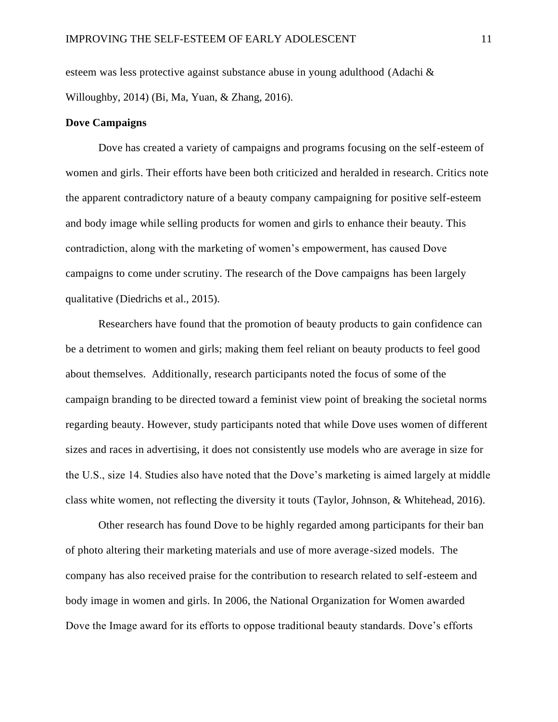esteem was less protective against substance abuse in young adulthood (Adachi & Willoughby, 2014) (Bi, Ma, Yuan, & Zhang, 2016).

# **Dove Campaigns**

Dove has created a variety of campaigns and programs focusing on the self-esteem of women and girls. Their efforts have been both criticized and heralded in research. Critics note the apparent contradictory nature of a beauty company campaigning for positive self-esteem and body image while selling products for women and girls to enhance their beauty. This contradiction, along with the marketing of women's empowerment, has caused Dove campaigns to come under scrutiny. The research of the Dove campaigns has been largely qualitative (Diedrichs et al., 2015).

Researchers have found that the promotion of beauty products to gain confidence can be a detriment to women and girls; making them feel reliant on beauty products to feel good about themselves. Additionally, research participants noted the focus of some of the campaign branding to be directed toward a feminist view point of breaking the societal norms regarding beauty. However, study participants noted that while Dove uses women of different sizes and races in advertising, it does not consistently use models who are average in size for the U.S., size 14. Studies also have noted that the Dove's marketing is aimed largely at middle class white women, not reflecting the diversity it touts (Taylor, Johnson, & Whitehead, 2016).

Other research has found Dove to be highly regarded among participants for their ban of photo altering their marketing materials and use of more average-sized models. The company has also received praise for the contribution to research related to self-esteem and body image in women and girls. In 2006, the National Organization for Women awarded Dove the Image award for its efforts to oppose traditional beauty standards. Dove's efforts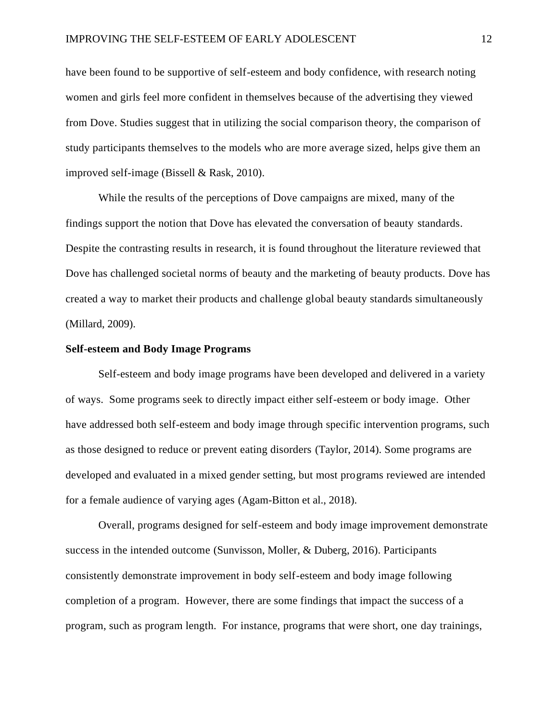have been found to be supportive of self-esteem and body confidence, with research noting women and girls feel more confident in themselves because of the advertising they viewed from Dove. Studies suggest that in utilizing the social comparison theory, the comparison of study participants themselves to the models who are more average sized, helps give them an improved self-image (Bissell & Rask, 2010).

While the results of the perceptions of Dove campaigns are mixed, many of the findings support the notion that Dove has elevated the conversation of beauty standards. Despite the contrasting results in research, it is found throughout the literature reviewed that Dove has challenged societal norms of beauty and the marketing of beauty products. Dove has created a way to market their products and challenge global beauty standards simultaneously (Millard, 2009).

### **Self-esteem and Body Image Programs**

Self-esteem and body image programs have been developed and delivered in a variety of ways. Some programs seek to directly impact either self-esteem or body image. Other have addressed both self-esteem and body image through specific intervention programs, such as those designed to reduce or prevent eating disorders (Taylor, 2014). Some programs are developed and evaluated in a mixed gender setting, but most programs reviewed are intended for a female audience of varying ages (Agam-Bitton et al., 2018).

Overall, programs designed for self-esteem and body image improvement demonstrate success in the intended outcome (Sunvisson, Moller, & Duberg, 2016). Participants consistently demonstrate improvement in body self-esteem and body image following completion of a program. However, there are some findings that impact the success of a program, such as program length. For instance, programs that were short, one day trainings,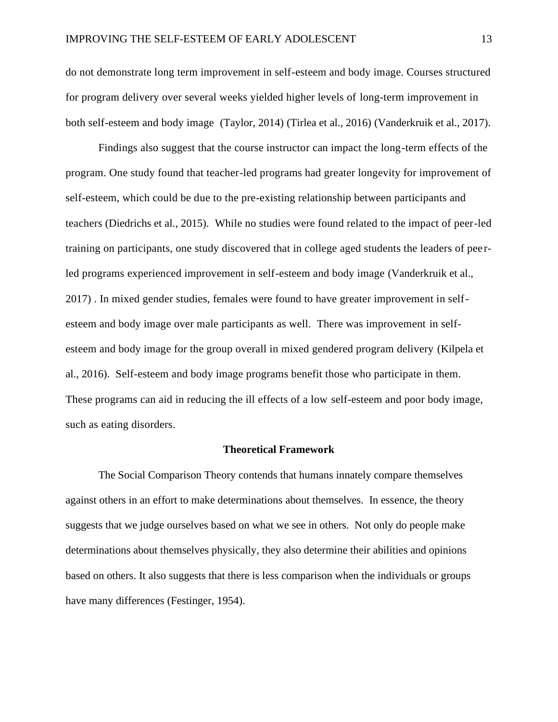do not demonstrate long term improvement in self-esteem and body image. Courses structured for program delivery over several weeks yielded higher levels of long-term improvement in both self-esteem and body image (Taylor, 2014) (Tirlea et al., 2016) (Vanderkruik et al., 2017).

Findings also suggest that the course instructor can impact the long-term effects of the program. One study found that teacher-led programs had greater longevity for improvement of self-esteem, which could be due to the pre-existing relationship between participants and teachers (Diedrichs et al., 2015). While no studies were found related to the impact of peer-led training on participants, one study discovered that in college aged students the leaders of pee rled programs experienced improvement in self-esteem and body image (Vanderkruik et al., 2017) . In mixed gender studies, females were found to have greater improvement in selfesteem and body image over male participants as well. There was improvement in selfesteem and body image for the group overall in mixed gendered program delivery (Kilpela et al., 2016). Self-esteem and body image programs benefit those who participate in them. These programs can aid in reducing the ill effects of a low self-esteem and poor body image, such as eating disorders.

#### **Theoretical Framework**

The Social Comparison Theory contends that humans innately compare themselves against others in an effort to make determinations about themselves. In essence, the theory suggests that we judge ourselves based on what we see in others. Not only do people make determinations about themselves physically, they also determine their abilities and opinions based on others. It also suggests that there is less comparison when the individuals or groups have many differences (Festinger, 1954).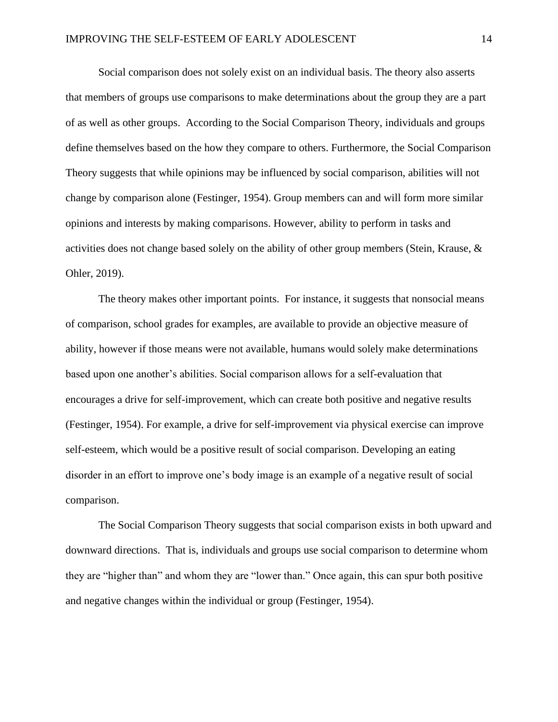Social comparison does not solely exist on an individual basis. The theory also asserts that members of groups use comparisons to make determinations about the group they are a part of as well as other groups. According to the Social Comparison Theory, individuals and groups define themselves based on the how they compare to others. Furthermore, the Social Comparison Theory suggests that while opinions may be influenced by social comparison, abilities will not change by comparison alone (Festinger, 1954). Group members can and will form more similar opinions and interests by making comparisons. However, ability to perform in tasks and activities does not change based solely on the ability of other group members (Stein, Krause, & Ohler, 2019).

The theory makes other important points. For instance, it suggests that nonsocial means of comparison, school grades for examples, are available to provide an objective measure of ability, however if those means were not available, humans would solely make determinations based upon one another's abilities. Social comparison allows for a self-evaluation that encourages a drive for self-improvement, which can create both positive and negative results (Festinger, 1954). For example, a drive for self-improvement via physical exercise can improve self-esteem, which would be a positive result of social comparison. Developing an eating disorder in an effort to improve one's body image is an example of a negative result of social comparison.

The Social Comparison Theory suggests that social comparison exists in both upward and downward directions. That is, individuals and groups use social comparison to determine whom they are "higher than" and whom they are "lower than." Once again, this can spur both positive and negative changes within the individual or group (Festinger, 1954).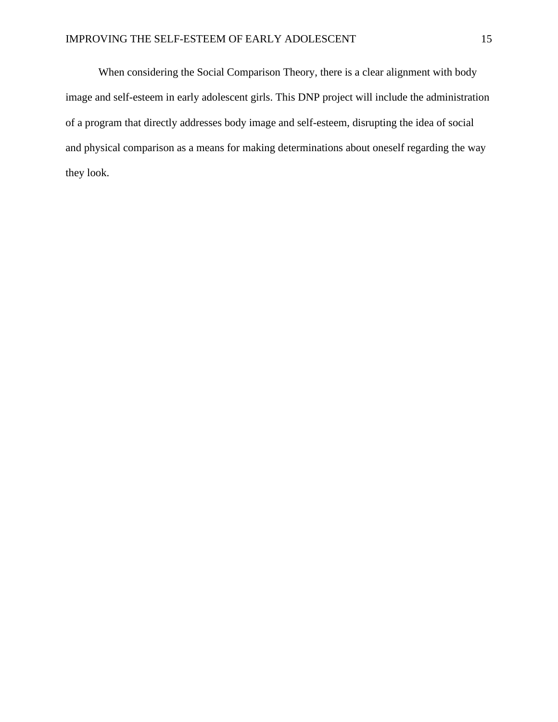When considering the Social Comparison Theory, there is a clear alignment with body image and self-esteem in early adolescent girls. This DNP project will include the administration of a program that directly addresses body image and self-esteem, disrupting the idea of social and physical comparison as a means for making determinations about oneself regarding the way they look.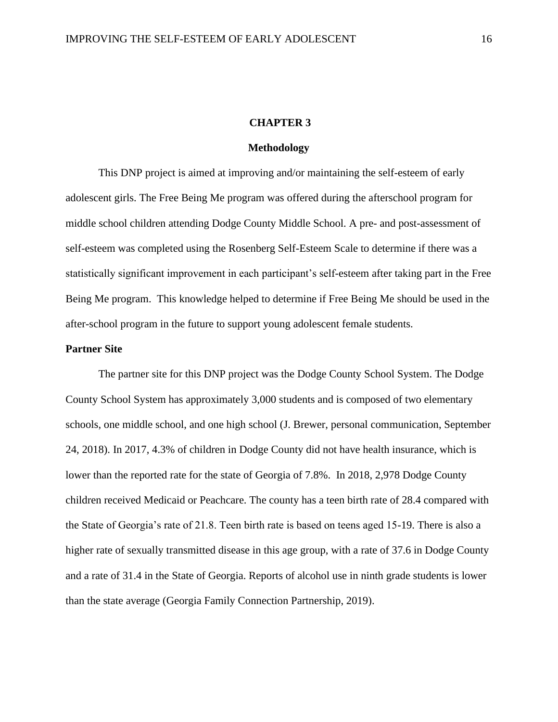### **CHAPTER 3**

# **Methodology**

This DNP project is aimed at improving and/or maintaining the self-esteem of early adolescent girls. The Free Being Me program was offered during the afterschool program for middle school children attending Dodge County Middle School. A pre- and post-assessment of self-esteem was completed using the Rosenberg Self-Esteem Scale to determine if there was a statistically significant improvement in each participant's self-esteem after taking part in the Free Being Me program. This knowledge helped to determine if Free Being Me should be used in the after-school program in the future to support young adolescent female students.

# **Partner Site**

The partner site for this DNP project was the Dodge County School System. The Dodge County School System has approximately 3,000 students and is composed of two elementary schools, one middle school, and one high school (J. Brewer, personal communication, September 24, 2018). In 2017, 4.3% of children in Dodge County did not have health insurance, which is lower than the reported rate for the state of Georgia of 7.8%. In 2018, 2,978 Dodge County children received Medicaid or Peachcare. The county has a teen birth rate of 28.4 compared with the State of Georgia's rate of 21.8. Teen birth rate is based on teens aged 15-19. There is also a higher rate of sexually transmitted disease in this age group, with a rate of 37.6 in Dodge County and a rate of 31.4 in the State of Georgia. Reports of alcohol use in ninth grade students is lower than the state average (Georgia Family Connection Partnership, 2019).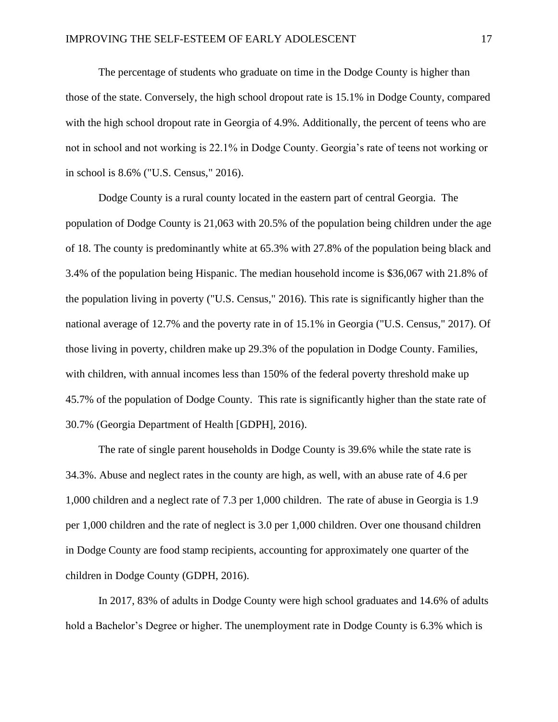The percentage of students who graduate on time in the Dodge County is higher than those of the state. Conversely, the high school dropout rate is 15.1% in Dodge County, compared with the high school dropout rate in Georgia of 4.9%. Additionally, the percent of teens who are not in school and not working is 22.1% in Dodge County. Georgia's rate of teens not working or in school is 8.6% ("U.S. Census," 2016).

Dodge County is a rural county located in the eastern part of central Georgia. The population of Dodge County is 21,063 with 20.5% of the population being children under the age of 18. The county is predominantly white at 65.3% with 27.8% of the population being black and 3.4% of the population being Hispanic. The median household income is \$36,067 with 21.8% of the population living in poverty ("U.S. Census," 2016). This rate is significantly higher than the national average of 12.7% and the poverty rate in of 15.1% in Georgia ("U.S. Census," 2017). Of those living in poverty, children make up 29.3% of the population in Dodge County. Families, with children, with annual incomes less than 150% of the federal poverty threshold make up 45.7% of the population of Dodge County. This rate is significantly higher than the state rate of 30.7% (Georgia Department of Health [GDPH], 2016).

The rate of single parent households in Dodge County is 39.6% while the state rate is 34.3%. Abuse and neglect rates in the county are high, as well, with an abuse rate of 4.6 per 1,000 children and a neglect rate of 7.3 per 1,000 children. The rate of abuse in Georgia is 1.9 per 1,000 children and the rate of neglect is 3.0 per 1,000 children. Over one thousand children in Dodge County are food stamp recipients, accounting for approximately one quarter of the children in Dodge County (GDPH, 2016).

In 2017, 83% of adults in Dodge County were high school graduates and 14.6% of adults hold a Bachelor's Degree or higher. The unemployment rate in Dodge County is 6.3% which is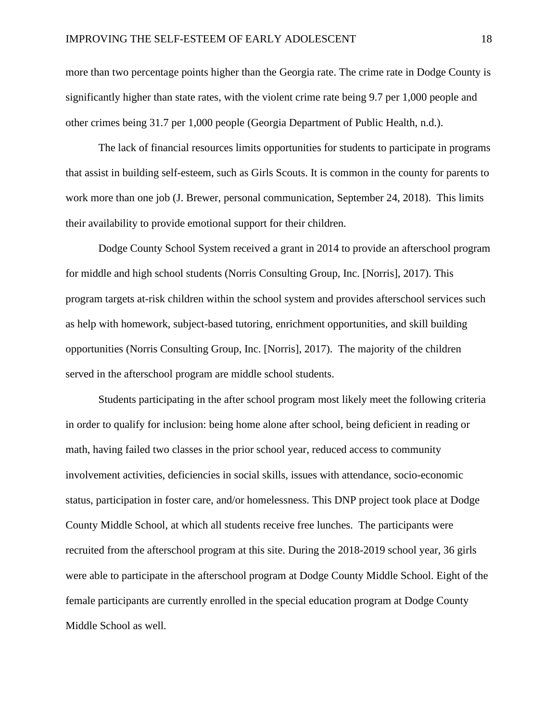more than two percentage points higher than the Georgia rate. The crime rate in Dodge County is significantly higher than state rates, with the violent crime rate being 9.7 per 1,000 people and other crimes being 31.7 per 1,000 people (Georgia Department of Public Health, n.d.).

The lack of financial resources limits opportunities for students to participate in programs that assist in building self-esteem, such as Girls Scouts. It is common in the county for parents to work more than one job (J. Brewer, personal communication, September 24, 2018). This limits their availability to provide emotional support for their children.

Dodge County School System received a grant in 2014 to provide an afterschool program for middle and high school students (Norris Consulting Group, Inc. [Norris], 2017). This program targets at-risk children within the school system and provides afterschool services such as help with homework, subject-based tutoring, enrichment opportunities, and skill building opportunities (Norris Consulting Group, Inc. [Norris], 2017). The majority of the children served in the afterschool program are middle school students.

Students participating in the after school program most likely meet the following criteria in order to qualify for inclusion: being home alone after school, being deficient in reading or math, having failed two classes in the prior school year, reduced access to community involvement activities, deficiencies in social skills, issues with attendance, socio-economic status, participation in foster care, and/or homelessness. This DNP project took place at Dodge County Middle School, at which all students receive free lunches. The participants were recruited from the afterschool program at this site. During the 2018-2019 school year, 36 girls were able to participate in the afterschool program at Dodge County Middle School. Eight of the female participants are currently enrolled in the special education program at Dodge County Middle School as well.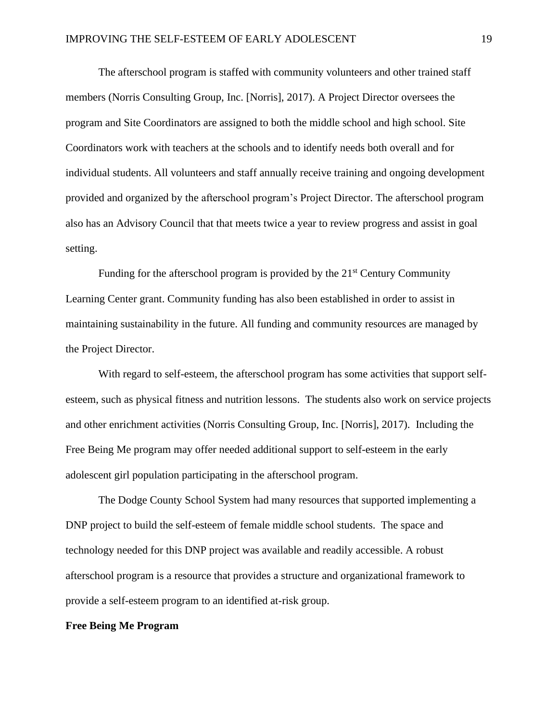The afterschool program is staffed with community volunteers and other trained staff members (Norris Consulting Group, Inc. [Norris], 2017). A Project Director oversees the program and Site Coordinators are assigned to both the middle school and high school. Site Coordinators work with teachers at the schools and to identify needs both overall and for individual students. All volunteers and staff annually receive training and ongoing development provided and organized by the afterschool program's Project Director. The afterschool program also has an Advisory Council that that meets twice a year to review progress and assist in goal setting.

Funding for the afterschool program is provided by the  $21<sup>st</sup>$  Century Community Learning Center grant. Community funding has also been established in order to assist in maintaining sustainability in the future. All funding and community resources are managed by the Project Director.

With regard to self-esteem, the afterschool program has some activities that support selfesteem, such as physical fitness and nutrition lessons. The students also work on service projects and other enrichment activities (Norris Consulting Group, Inc. [Norris], 2017). Including the Free Being Me program may offer needed additional support to self-esteem in the early adolescent girl population participating in the afterschool program.

The Dodge County School System had many resources that supported implementing a DNP project to build the self-esteem of female middle school students. The space and technology needed for this DNP project was available and readily accessible. A robust afterschool program is a resource that provides a structure and organizational framework to provide a self-esteem program to an identified at-risk group.

## **Free Being Me Program**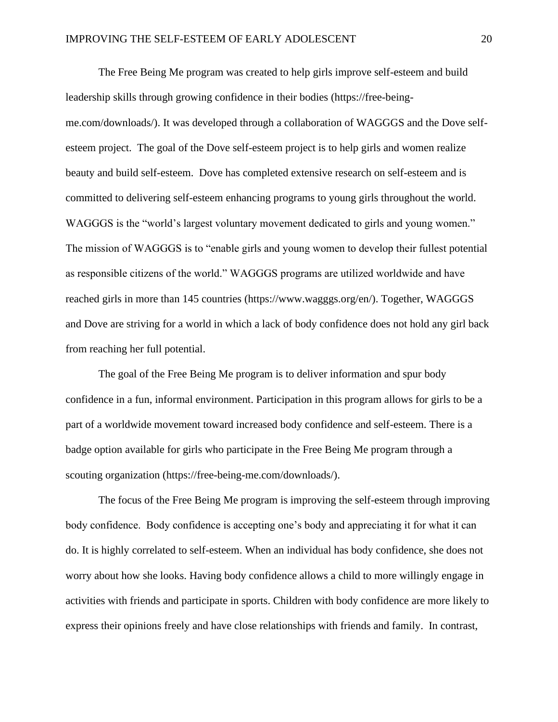The Free Being Me program was created to help girls improve self-esteem and build leadership skills through growing confidence in their bodies (https://free-beingme.com/downloads/). It was developed through a collaboration of WAGGGS and the Dove selfesteem project. The goal of the Dove self-esteem project is to help girls and women realize beauty and build self-esteem. Dove has completed extensive research on self-esteem and is committed to delivering self-esteem enhancing programs to young girls throughout the world. WAGGGS is the "world's largest voluntary movement dedicated to girls and young women." The mission of WAGGGS is to "enable girls and young women to develop their fullest potential as responsible citizens of the world." WAGGGS programs are utilized worldwide and have reached girls in more than 145 countries (https://www.wagggs.org/en/). Together, WAGGGS and Dove are striving for a world in which a lack of body confidence does not hold any girl back from reaching her full potential.

The goal of the Free Being Me program is to deliver information and spur body confidence in a fun, informal environment. Participation in this program allows for girls to be a part of a worldwide movement toward increased body confidence and self-esteem. There is a badge option available for girls who participate in the Free Being Me program through a scouting organization (https://free-being-me.com/downloads/).

The focus of the Free Being Me program is improving the self-esteem through improving body confidence. Body confidence is accepting one's body and appreciating it for what it can do. It is highly correlated to self-esteem. When an individual has body confidence, she does not worry about how she looks. Having body confidence allows a child to more willingly engage in activities with friends and participate in sports. Children with body confidence are more likely to express their opinions freely and have close relationships with friends and family. In contrast,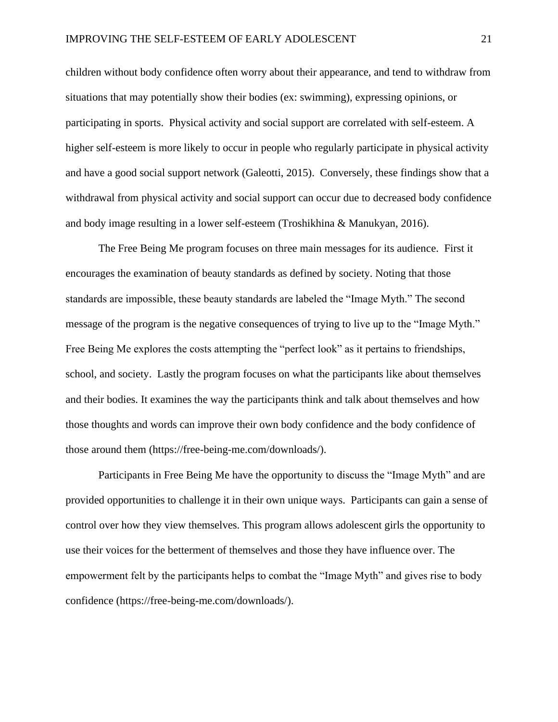children without body confidence often worry about their appearance, and tend to withdraw from situations that may potentially show their bodies (ex: swimming), expressing opinions, or participating in sports. Physical activity and social support are correlated with self-esteem. A higher self-esteem is more likely to occur in people who regularly participate in physical activity and have a good social support network (Galeotti, 2015). Conversely, these findings show that a withdrawal from physical activity and social support can occur due to decreased body confidence and body image resulting in a lower self-esteem (Troshikhina & Manukyan, 2016).

The Free Being Me program focuses on three main messages for its audience. First it encourages the examination of beauty standards as defined by society. Noting that those standards are impossible, these beauty standards are labeled the "Image Myth." The second message of the program is the negative consequences of trying to live up to the "Image Myth." Free Being Me explores the costs attempting the "perfect look" as it pertains to friendships, school, and society. Lastly the program focuses on what the participants like about themselves and their bodies. It examines the way the participants think and talk about themselves and how those thoughts and words can improve their own body confidence and the body confidence of those around them (https://free-being-me.com/downloads/).

Participants in Free Being Me have the opportunity to discuss the "Image Myth" and are provided opportunities to challenge it in their own unique ways. Participants can gain a sense of control over how they view themselves. This program allows adolescent girls the opportunity to use their voices for the betterment of themselves and those they have influence over. The empowerment felt by the participants helps to combat the "Image Myth" and gives rise to body confidence (https://free-being-me.com/downloads/).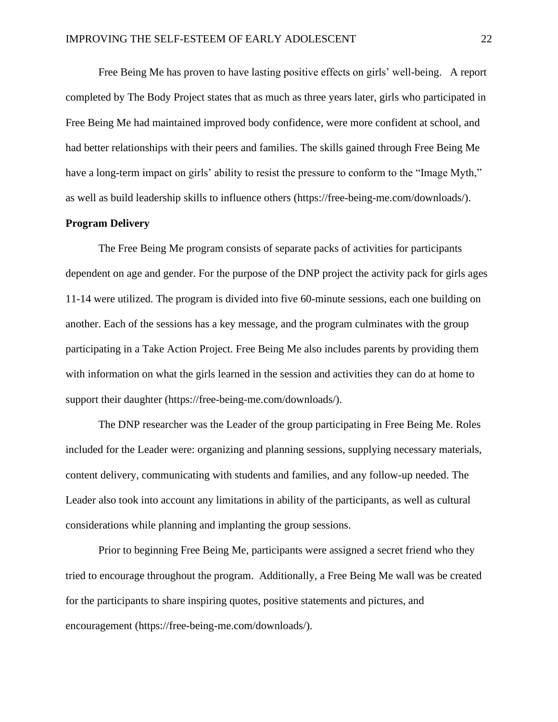Free Being Me has proven to have lasting positive effects on girls' well-being. A report completed by The Body Project states that as much as three years later, girls who participated in Free Being Me had maintained improved body confidence, were more confident at school, and had better relationships with their peers and families. The skills gained through Free Being Me have a long-term impact on girls' ability to resist the pressure to conform to the "Image Myth," as well as build leadership skills to influence others (https://free-being-me.com/downloads/).

### **Program Delivery**

The Free Being Me program consists of separate packs of activities for participants dependent on age and gender. For the purpose of the DNP project the activity pack for girls ages 11-14 were utilized. The program is divided into five 60-minute sessions, each one building on another. Each of the sessions has a key message, and the program culminates with the group participating in a Take Action Project. Free Being Me also includes parents by providing them with information on what the girls learned in the session and activities they can do at home to support their daughter (https://free-being-me.com/downloads/).

The DNP researcher was the Leader of the group participating in Free Being Me. Roles included for the Leader were: organizing and planning sessions, supplying necessary materials, content delivery, communicating with students and families, and any follow-up needed. The Leader also took into account any limitations in ability of the participants, as well as cultural considerations while planning and implanting the group sessions.

Prior to beginning Free Being Me, participants were assigned a secret friend who they tried to encourage throughout the program. Additionally, a Free Being Me wall was be created for the participants to share inspiring quotes, positive statements and pictures, and encouragement (https://free-being-me.com/downloads/).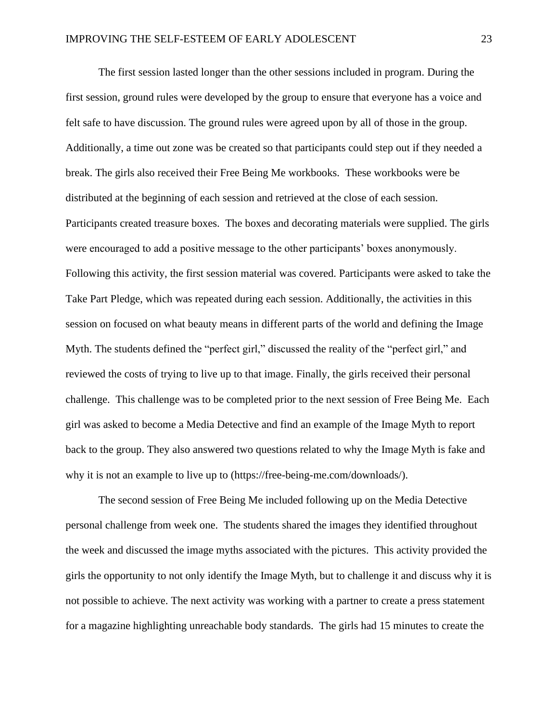The first session lasted longer than the other sessions included in program. During the first session, ground rules were developed by the group to ensure that everyone has a voice and felt safe to have discussion. The ground rules were agreed upon by all of those in the group. Additionally, a time out zone was be created so that participants could step out if they needed a break. The girls also received their Free Being Me workbooks. These workbooks were be distributed at the beginning of each session and retrieved at the close of each session. Participants created treasure boxes. The boxes and decorating materials were supplied. The girls were encouraged to add a positive message to the other participants' boxes anonymously. Following this activity, the first session material was covered. Participants were asked to take the Take Part Pledge, which was repeated during each session. Additionally, the activities in this session on focused on what beauty means in different parts of the world and defining the Image Myth. The students defined the "perfect girl," discussed the reality of the "perfect girl," and reviewed the costs of trying to live up to that image. Finally, the girls received their personal challenge. This challenge was to be completed prior to the next session of Free Being Me. Each girl was asked to become a Media Detective and find an example of the Image Myth to report back to the group. They also answered two questions related to why the Image Myth is fake and why it is not an example to live up to (https://free-being-me.com/downloads/).

The second session of Free Being Me included following up on the Media Detective personal challenge from week one. The students shared the images they identified throughout the week and discussed the image myths associated with the pictures. This activity provided the girls the opportunity to not only identify the Image Myth, but to challenge it and discuss why it is not possible to achieve. The next activity was working with a partner to create a press statement for a magazine highlighting unreachable body standards. The girls had 15 minutes to create the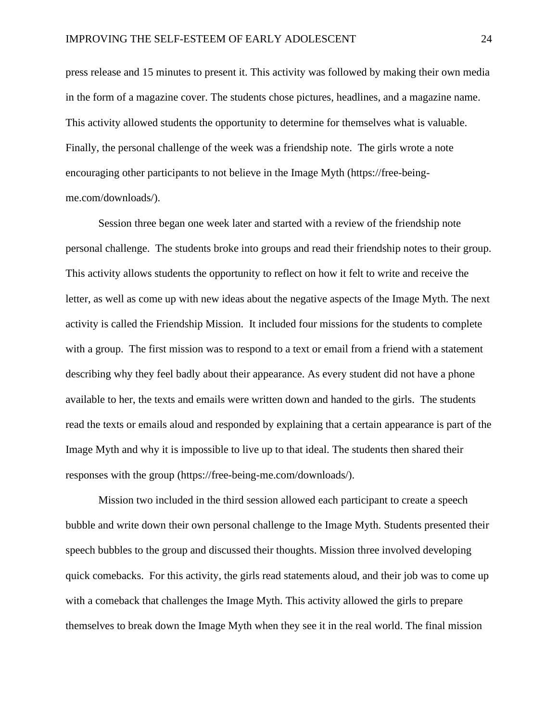press release and 15 minutes to present it. This activity was followed by making their own media in the form of a magazine cover. The students chose pictures, headlines, and a magazine name. This activity allowed students the opportunity to determine for themselves what is valuable. Finally, the personal challenge of the week was a friendship note. The girls wrote a note encouraging other participants to not believe in the Image Myth (https://free-beingme.com/downloads/).

Session three began one week later and started with a review of the friendship note personal challenge. The students broke into groups and read their friendship notes to their group. This activity allows students the opportunity to reflect on how it felt to write and receive the letter, as well as come up with new ideas about the negative aspects of the Image Myth. The next activity is called the Friendship Mission. It included four missions for the students to complete with a group. The first mission was to respond to a text or email from a friend with a statement describing why they feel badly about their appearance. As every student did not have a phone available to her, the texts and emails were written down and handed to the girls. The students read the texts or emails aloud and responded by explaining that a certain appearance is part of the Image Myth and why it is impossible to live up to that ideal. The students then shared their responses with the group (https://free-being-me.com/downloads/).

Mission two included in the third session allowed each participant to create a speech bubble and write down their own personal challenge to the Image Myth. Students presented their speech bubbles to the group and discussed their thoughts. Mission three involved developing quick comebacks. For this activity, the girls read statements aloud, and their job was to come up with a comeback that challenges the Image Myth. This activity allowed the girls to prepare themselves to break down the Image Myth when they see it in the real world. The final mission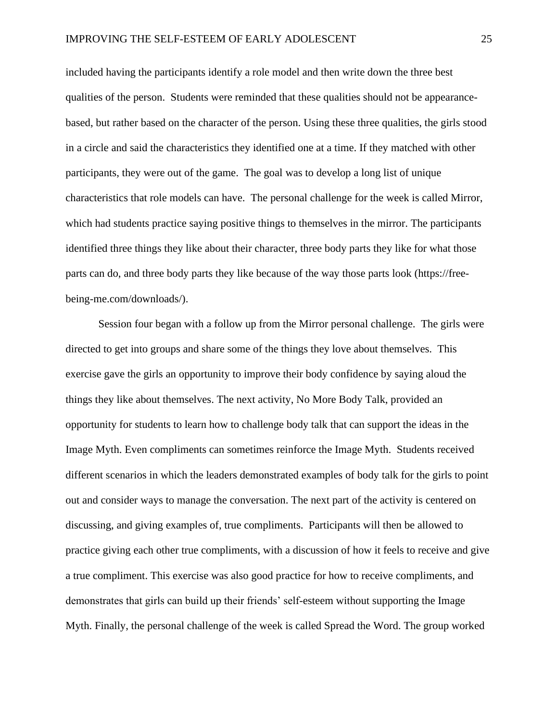included having the participants identify a role model and then write down the three best qualities of the person. Students were reminded that these qualities should not be appearancebased, but rather based on the character of the person. Using these three qualities, the girls stood in a circle and said the characteristics they identified one at a time. If they matched with other participants, they were out of the game. The goal was to develop a long list of unique characteristics that role models can have. The personal challenge for the week is called Mirror, which had students practice saying positive things to themselves in the mirror. The participants identified three things they like about their character, three body parts they like for what those parts can do, and three body parts they like because of the way those parts look (https://freebeing-me.com/downloads/).

Session four began with a follow up from the Mirror personal challenge. The girls were directed to get into groups and share some of the things they love about themselves. This exercise gave the girls an opportunity to improve their body confidence by saying aloud the things they like about themselves. The next activity, No More Body Talk, provided an opportunity for students to learn how to challenge body talk that can support the ideas in the Image Myth. Even compliments can sometimes reinforce the Image Myth. Students received different scenarios in which the leaders demonstrated examples of body talk for the girls to point out and consider ways to manage the conversation. The next part of the activity is centered on discussing, and giving examples of, true compliments. Participants will then be allowed to practice giving each other true compliments, with a discussion of how it feels to receive and give a true compliment. This exercise was also good practice for how to receive compliments, and demonstrates that girls can build up their friends' self-esteem without supporting the Image Myth. Finally, the personal challenge of the week is called Spread the Word. The group worked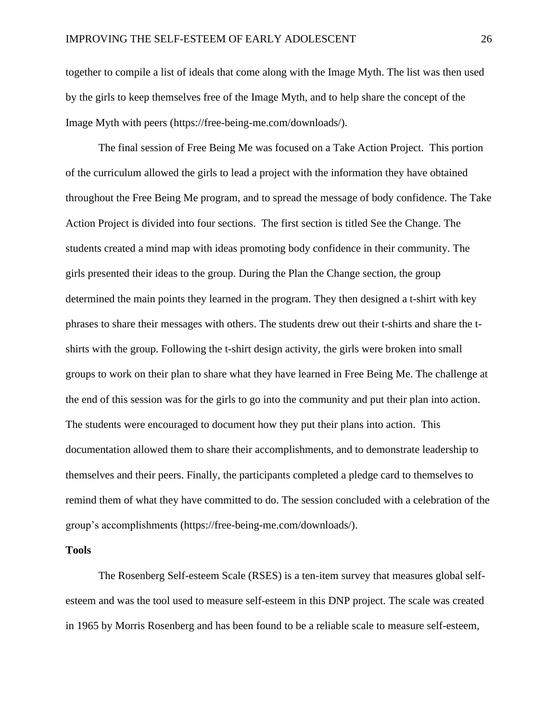together to compile a list of ideals that come along with the Image Myth. The list was then used by the girls to keep themselves free of the Image Myth, and to help share the concept of the Image Myth with peers (https://free-being-me.com/downloads/).

The final session of Free Being Me was focused on a Take Action Project. This portion of the curriculum allowed the girls to lead a project with the information they have obtained throughout the Free Being Me program, and to spread the message of body confidence. The Take Action Project is divided into four sections. The first section is titled See the Change. The students created a mind map with ideas promoting body confidence in their community. The girls presented their ideas to the group. During the Plan the Change section, the group determined the main points they learned in the program. They then designed a t-shirt with key phrases to share their messages with others. The students drew out their t-shirts and share the tshirts with the group. Following the t-shirt design activity, the girls were broken into small groups to work on their plan to share what they have learned in Free Being Me. The challenge at the end of this session was for the girls to go into the community and put their plan into action. The students were encouraged to document how they put their plans into action. This documentation allowed them to share their accomplishments, and to demonstrate leadership to themselves and their peers. Finally, the participants completed a pledge card to themselves to remind them of what they have committed to do. The session concluded with a celebration of the group's accomplishments (https://free-being-me.com/downloads/).

#### **Tools**

The Rosenberg Self-esteem Scale (RSES) is a ten-item survey that measures global selfesteem and was the tool used to measure self-esteem in this DNP project. The scale was created in 1965 by Morris Rosenberg and has been found to be a reliable scale to measure self-esteem,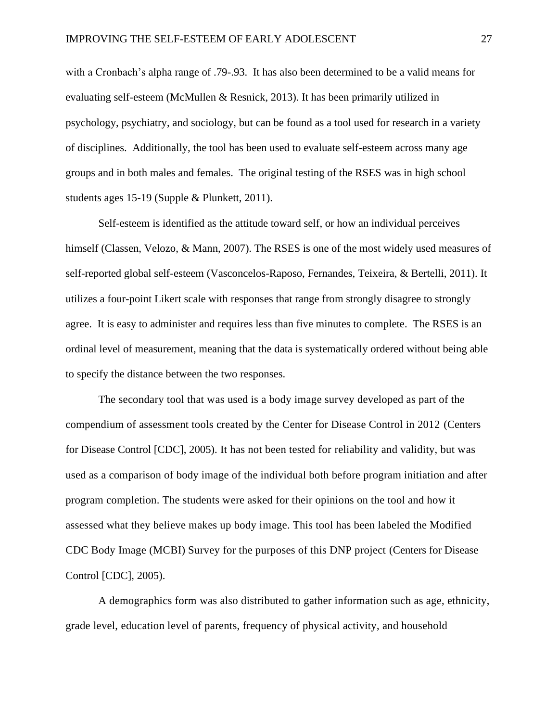with a Cronbach's alpha range of .79-.93. It has also been determined to be a valid means for evaluating self-esteem (McMullen & Resnick, 2013). It has been primarily utilized in psychology, psychiatry, and sociology, but can be found as a tool used for research in a variety of disciplines. Additionally, the tool has been used to evaluate self-esteem across many age groups and in both males and females. The original testing of the RSES was in high school students ages 15-19 (Supple & Plunkett, 2011).

Self-esteem is identified as the attitude toward self, or how an individual perceives himself (Classen, Velozo, & Mann, 2007). The RSES is one of the most widely used measures of self-reported global self-esteem (Vasconcelos-Raposo, Fernandes, Teixeira, & Bertelli, 2011). It utilizes a four-point Likert scale with responses that range from strongly disagree to strongly agree. It is easy to administer and requires less than five minutes to complete. The RSES is an ordinal level of measurement, meaning that the data is systematically ordered without being able to specify the distance between the two responses.

The secondary tool that was used is a body image survey developed as part of the compendium of assessment tools created by the Center for Disease Control in 2012 (Centers for Disease Control [CDC], 2005). It has not been tested for reliability and validity, but was used as a comparison of body image of the individual both before program initiation and after program completion. The students were asked for their opinions on the tool and how it assessed what they believe makes up body image. This tool has been labeled the Modified CDC Body Image (MCBI) Survey for the purposes of this DNP project (Centers for Disease Control [CDC], 2005).

A demographics form was also distributed to gather information such as age, ethnicity, grade level, education level of parents, frequency of physical activity, and household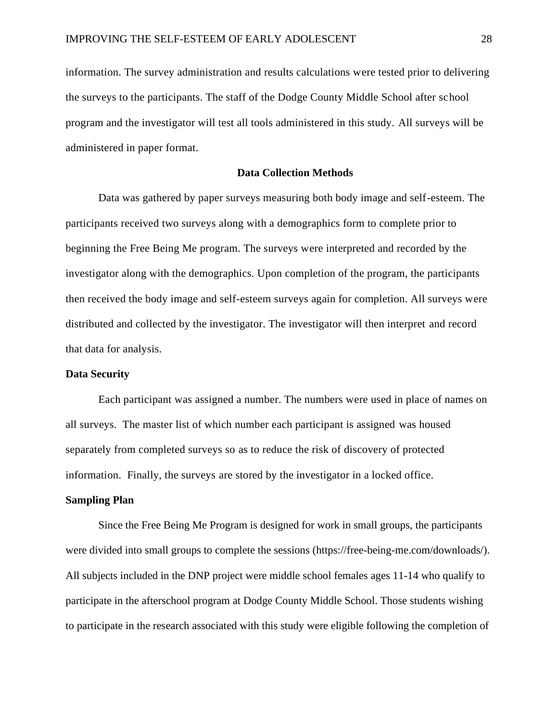information. The survey administration and results calculations were tested prior to delivering the surveys to the participants. The staff of the Dodge County Middle School after school program and the investigator will test all tools administered in this study. All surveys will be administered in paper format.

### **Data Collection Methods**

Data was gathered by paper surveys measuring both body image and self-esteem. The participants received two surveys along with a demographics form to complete prior to beginning the Free Being Me program. The surveys were interpreted and recorded by the investigator along with the demographics. Upon completion of the program, the participants then received the body image and self-esteem surveys again for completion. All surveys were distributed and collected by the investigator. The investigator will then interpret and record that data for analysis.

# **Data Security**

Each participant was assigned a number. The numbers were used in place of names on all surveys. The master list of which number each participant is assigned was housed separately from completed surveys so as to reduce the risk of discovery of protected information. Finally, the surveys are stored by the investigator in a locked office.

#### **Sampling Plan**

Since the Free Being Me Program is designed for work in small groups, the participants were divided into small groups to complete the sessions (https://free-being-me.com/downloads/). All subjects included in the DNP project were middle school females ages 11-14 who qualify to participate in the afterschool program at Dodge County Middle School. Those students wishing to participate in the research associated with this study were eligible following the completion of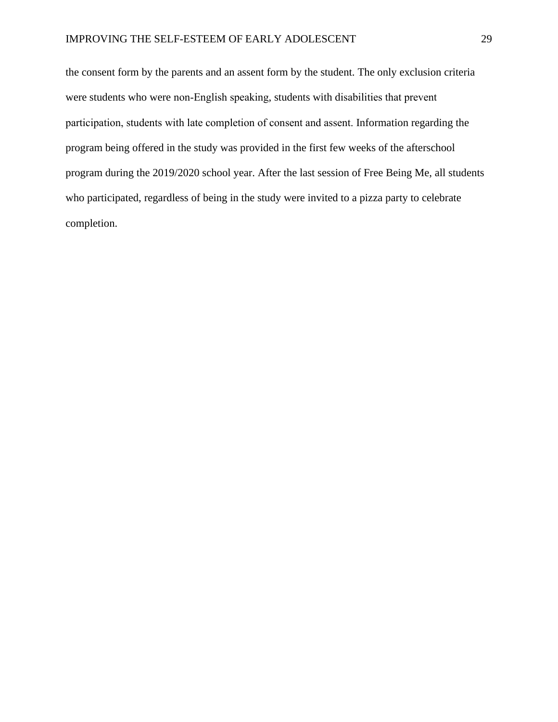the consent form by the parents and an assent form by the student. The only exclusion criteria were students who were non-English speaking, students with disabilities that prevent participation, students with late completion of consent and assent. Information regarding the program being offered in the study was provided in the first few weeks of the afterschool program during the 2019/2020 school year. After the last session of Free Being Me, all students who participated, regardless of being in the study were invited to a pizza party to celebrate completion.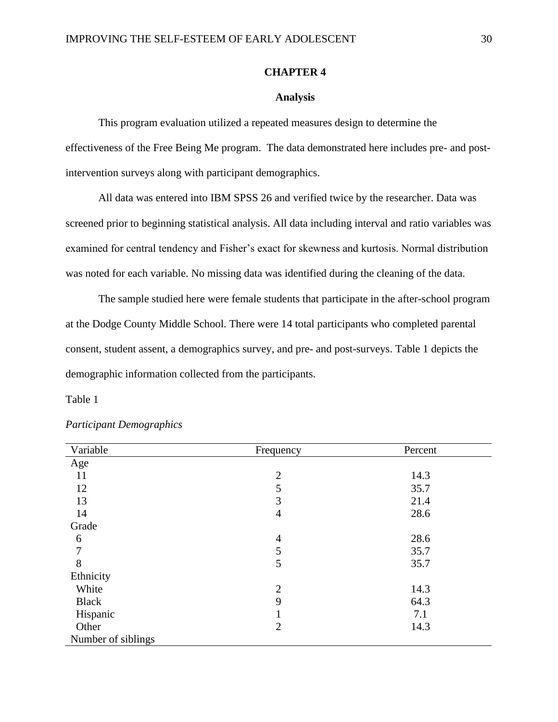# **CHAPTER 4**

# **Analysis**

This program evaluation utilized a repeated measures design to determine the effectiveness of the Free Being Me program. The data demonstrated here includes pre- and postintervention surveys along with participant demographics.

All data was entered into IBM SPSS 26 and verified twice by the researcher. Data was screened prior to beginning statistical analysis. All data including interval and ratio variables was examined for central tendency and Fisher's exact for skewness and kurtosis. Normal distribution was noted for each variable. No missing data was identified during the cleaning of the data.

The sample studied here were female students that participate in the after-school program at the Dodge County Middle School. There were 14 total participants who completed parental consent, student assent, a demographics survey, and pre- and post-surveys. Table 1 depicts the demographic information collected from the participants.

Table 1

| Variable           | Frequency      | Percent |
|--------------------|----------------|---------|
| Age                |                |         |
| 11                 | $\overline{2}$ | 14.3    |
| 12                 | 5              | 35.7    |
| 13                 | 3              | 21.4    |
| 14                 | $\overline{4}$ | 28.6    |
| Grade              |                |         |
| 6                  | $\overline{4}$ | 28.6    |
| 7                  | 5              | 35.7    |
| 8                  | 5              | 35.7    |
| Ethnicity          |                |         |
| White              | $\overline{2}$ | 14.3    |
| <b>Black</b>       | 9              | 64.3    |
| Hispanic           | $\bf{l}$       | 7.1     |
| Other              | 2              | 14.3    |
| Number of siblings |                |         |

*Participant Demographics*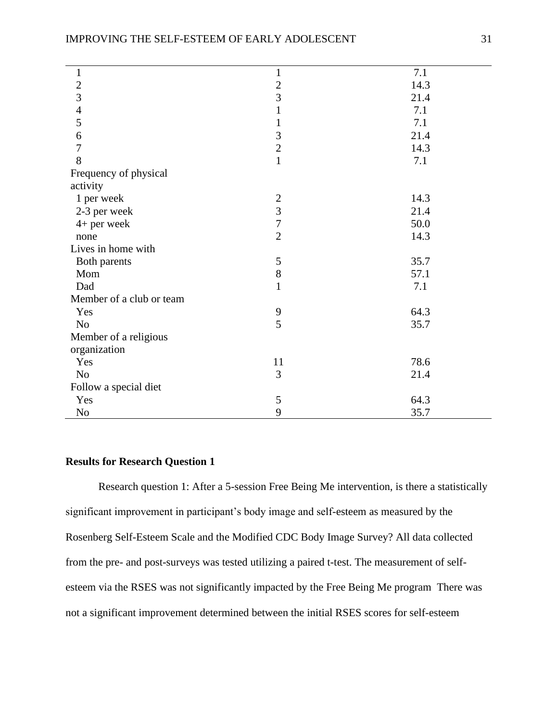| $\mathbf{1}$             | $\mathbf{1}$     | 7.1  |
|--------------------------|------------------|------|
|                          | $\overline{c}$   | 14.3 |
| $\frac{2}{3}$            | $\overline{3}$   | 21.4 |
| $\overline{4}$           | $\mathbf{1}$     | 7.1  |
| 5                        | $\mathbf 1$      | 7.1  |
| 6                        | $\mathfrak{Z}$   | 21.4 |
| $\tau$                   | $\overline{2}$   | 14.3 |
| 8                        | $\mathbf{1}$     | 7.1  |
| Frequency of physical    |                  |      |
| activity                 |                  |      |
| 1 per week               | $\mathbf{2}$     | 14.3 |
| 2-3 per week             | 3                | 21.4 |
| $4+$ per week            | $\boldsymbol{7}$ | 50.0 |
| none                     | $\overline{2}$   | 14.3 |
| Lives in home with       |                  |      |
| Both parents             | 5                | 35.7 |
| Mom                      | 8                | 57.1 |
| Dad                      | $\mathbf{1}$     | 7.1  |
| Member of a club or team |                  |      |
| Yes                      | 9                | 64.3 |
| No                       | 5                | 35.7 |
| Member of a religious    |                  |      |
| organization             |                  |      |
| Yes                      | 11               | 78.6 |
| N <sub>o</sub>           | 3                | 21.4 |
| Follow a special diet    |                  |      |
| Yes                      | 5                | 64.3 |
| N <sub>0</sub>           | 9                | 35.7 |
|                          |                  |      |

# **Results for Research Question 1**

Research question 1: After a 5-session Free Being Me intervention, is there a statistically significant improvement in participant's body image and self-esteem as measured by the Rosenberg Self-Esteem Scale and the Modified CDC Body Image Survey? All data collected from the pre- and post-surveys was tested utilizing a paired t-test. The measurement of selfesteem via the RSES was not significantly impacted by the Free Being Me program There was not a significant improvement determined between the initial RSES scores for self-esteem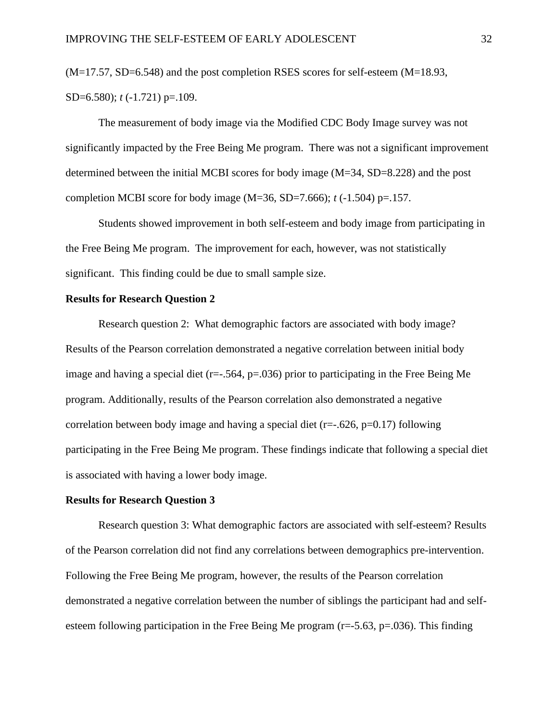$(M=17.57, SD=6.548)$  and the post completion RSES scores for self-esteem  $(M=18.93,$ SD=6.580); *t* (-1.721) p=.109.

The measurement of body image via the Modified CDC Body Image survey was not significantly impacted by the Free Being Me program. There was not a significant improvement determined between the initial MCBI scores for body image (M=34, SD=8.228) and the post completion MCBI score for body image (M=36, SD=7.666); *t* (-1.504) p=.157.

Students showed improvement in both self-esteem and body image from participating in the Free Being Me program. The improvement for each, however, was not statistically significant. This finding could be due to small sample size.

# **Results for Research Question 2**

Research question 2: What demographic factors are associated with body image? Results of the Pearson correlation demonstrated a negative correlation between initial body image and having a special diet ( $r=-.564$ ,  $p=.036$ ) prior to participating in the Free Being Me program. Additionally, results of the Pearson correlation also demonstrated a negative correlation between body image and having a special diet (r=-.626, p=0.17) following participating in the Free Being Me program. These findings indicate that following a special diet is associated with having a lower body image.

#### **Results for Research Question 3**

Research question 3: What demographic factors are associated with self-esteem? Results of the Pearson correlation did not find any correlations between demographics pre-intervention. Following the Free Being Me program, however, the results of the Pearson correlation demonstrated a negative correlation between the number of siblings the participant had and selfesteem following participation in the Free Being Me program ( $r = -5.63$ ,  $p = .036$ ). This finding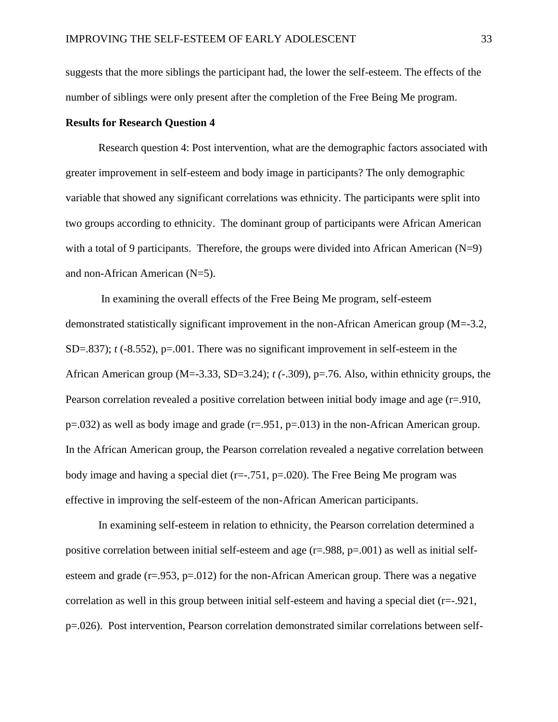suggests that the more siblings the participant had, the lower the self-esteem. The effects of the number of siblings were only present after the completion of the Free Being Me program.

# **Results for Research Question 4**

Research question 4: Post intervention, what are the demographic factors associated with greater improvement in self-esteem and body image in participants? The only demographic variable that showed any significant correlations was ethnicity. The participants were split into two groups according to ethnicity. The dominant group of participants were African American with a total of 9 participants. Therefore, the groups were divided into African American (N=9) and non-African American (N=5).

In examining the overall effects of the Free Being Me program, self-esteem demonstrated statistically significant improvement in the non-African American group (M=-3.2,  $SD = .837$ ; *t*  $(-8.552)$ ,  $p = .001$ . There was no significant improvement in self-esteem in the African American group (M=-3.33, SD=3.24); *t (*-.309), p=.76. Also, within ethnicity groups, the Pearson correlation revealed a positive correlation between initial body image and age (r=.910,  $p=0.032$ ) as well as body image and grade ( $r=0.951$ ,  $p=0.013$ ) in the non-African American group. In the African American group, the Pearson correlation revealed a negative correlation between body image and having a special diet  $(r=-.751, p=.020)$ . The Free Being Me program was effective in improving the self-esteem of the non-African American participants.

In examining self-esteem in relation to ethnicity, the Pearson correlation determined a positive correlation between initial self-esteem and age (r=.988, p=.001) as well as initial selfesteem and grade  $(r=.953, p=.012)$  for the non-African American group. There was a negative correlation as well in this group between initial self-esteem and having a special diet  $(r=-.921,$ p=.026). Post intervention, Pearson correlation demonstrated similar correlations between self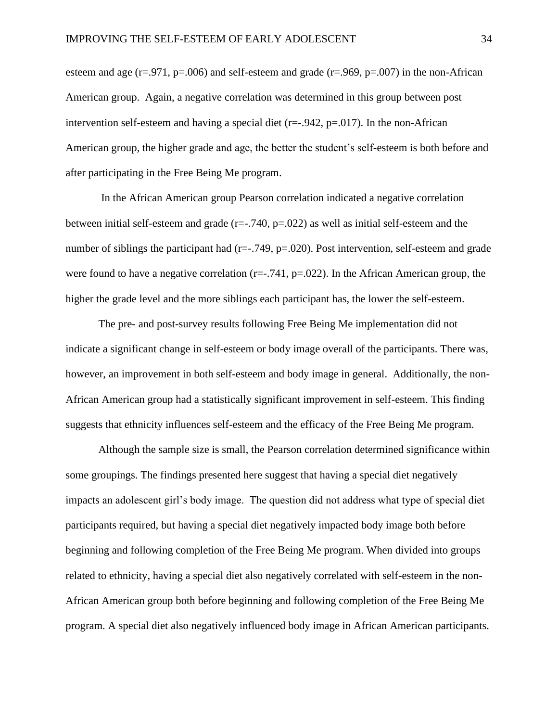esteem and age ( $r=0.971$ , p=.006) and self-esteem and grade ( $r=0.969$ , p=.007) in the non-African American group. Again, a negative correlation was determined in this group between post intervention self-esteem and having a special diet  $(r=-0.942, p=0.017)$ . In the non-African American group, the higher grade and age, the better the student's self-esteem is both before and after participating in the Free Being Me program.

In the African American group Pearson correlation indicated a negative correlation between initial self-esteem and grade  $(r=-.740, p=.022)$  as well as initial self-esteem and the number of siblings the participant had ( $r=-.749$ ,  $p=.020$ ). Post intervention, self-esteem and grade were found to have a negative correlation ( $r=-.741$ ,  $p=.022$ ). In the African American group, the higher the grade level and the more siblings each participant has, the lower the self-esteem.

The pre- and post-survey results following Free Being Me implementation did not indicate a significant change in self-esteem or body image overall of the participants. There was, however, an improvement in both self-esteem and body image in general. Additionally, the non-African American group had a statistically significant improvement in self-esteem. This finding suggests that ethnicity influences self-esteem and the efficacy of the Free Being Me program.

Although the sample size is small, the Pearson correlation determined significance within some groupings. The findings presented here suggest that having a special diet negatively impacts an adolescent girl's body image. The question did not address what type of special diet participants required, but having a special diet negatively impacted body image both before beginning and following completion of the Free Being Me program. When divided into groups related to ethnicity, having a special diet also negatively correlated with self-esteem in the non-African American group both before beginning and following completion of the Free Being Me program. A special diet also negatively influenced body image in African American participants.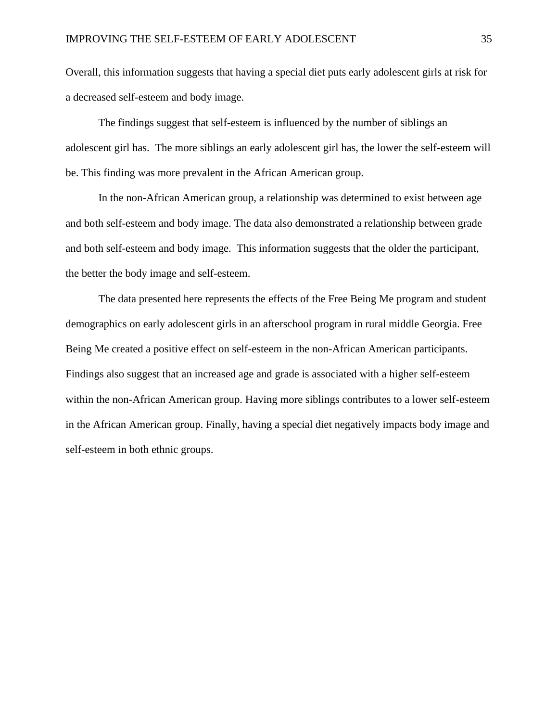Overall, this information suggests that having a special diet puts early adolescent girls at risk for a decreased self-esteem and body image.

The findings suggest that self-esteem is influenced by the number of siblings an adolescent girl has. The more siblings an early adolescent girl has, the lower the self-esteem will be. This finding was more prevalent in the African American group.

In the non-African American group, a relationship was determined to exist between age and both self-esteem and body image. The data also demonstrated a relationship between grade and both self-esteem and body image. This information suggests that the older the participant, the better the body image and self-esteem.

The data presented here represents the effects of the Free Being Me program and student demographics on early adolescent girls in an afterschool program in rural middle Georgia. Free Being Me created a positive effect on self-esteem in the non-African American participants. Findings also suggest that an increased age and grade is associated with a higher self-esteem within the non-African American group. Having more siblings contributes to a lower self-esteem in the African American group. Finally, having a special diet negatively impacts body image and self-esteem in both ethnic groups.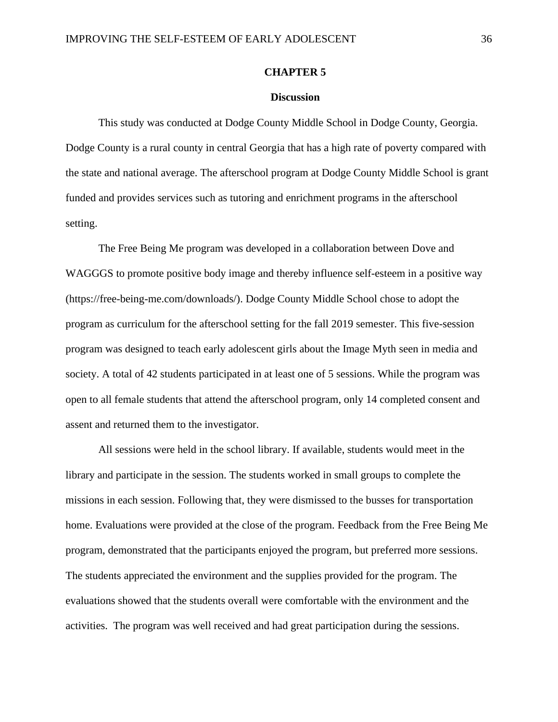# **CHAPTER 5**

#### **Discussion**

This study was conducted at Dodge County Middle School in Dodge County, Georgia. Dodge County is a rural county in central Georgia that has a high rate of poverty compared with the state and national average. The afterschool program at Dodge County Middle School is grant funded and provides services such as tutoring and enrichment programs in the afterschool setting.

The Free Being Me program was developed in a collaboration between Dove and WAGGGS to promote positive body image and thereby influence self-esteem in a positive way (https://free-being-me.com/downloads/). Dodge County Middle School chose to adopt the program as curriculum for the afterschool setting for the fall 2019 semester. This five-session program was designed to teach early adolescent girls about the Image Myth seen in media and society. A total of 42 students participated in at least one of 5 sessions. While the program was open to all female students that attend the afterschool program, only 14 completed consent and assent and returned them to the investigator.

All sessions were held in the school library. If available, students would meet in the library and participate in the session. The students worked in small groups to complete the missions in each session. Following that, they were dismissed to the busses for transportation home. Evaluations were provided at the close of the program. Feedback from the Free Being Me program, demonstrated that the participants enjoyed the program, but preferred more sessions. The students appreciated the environment and the supplies provided for the program. The evaluations showed that the students overall were comfortable with the environment and the activities. The program was well received and had great participation during the sessions.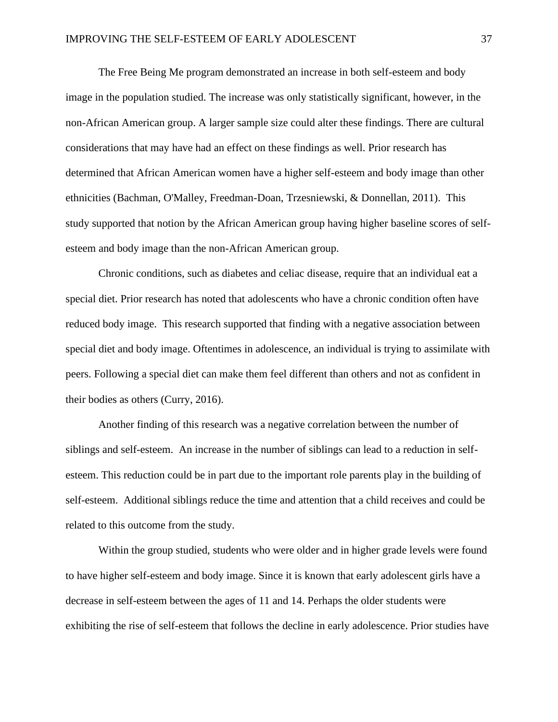The Free Being Me program demonstrated an increase in both self-esteem and body image in the population studied. The increase was only statistically significant, however, in the non-African American group. A larger sample size could alter these findings. There are cultural considerations that may have had an effect on these findings as well. Prior research has determined that African American women have a higher self-esteem and body image than other ethnicities (Bachman, O'Malley, Freedman-Doan, Trzesniewski, & Donnellan, 2011). This study supported that notion by the African American group having higher baseline scores of selfesteem and body image than the non-African American group.

Chronic conditions, such as diabetes and celiac disease, require that an individual eat a special diet. Prior research has noted that adolescents who have a chronic condition often have reduced body image. This research supported that finding with a negative association between special diet and body image. Oftentimes in adolescence, an individual is trying to assimilate with peers. Following a special diet can make them feel different than others and not as confident in their bodies as others (Curry, 2016).

Another finding of this research was a negative correlation between the number of siblings and self-esteem. An increase in the number of siblings can lead to a reduction in selfesteem. This reduction could be in part due to the important role parents play in the building of self-esteem. Additional siblings reduce the time and attention that a child receives and could be related to this outcome from the study.

Within the group studied, students who were older and in higher grade levels were found to have higher self-esteem and body image. Since it is known that early adolescent girls have a decrease in self-esteem between the ages of 11 and 14. Perhaps the older students were exhibiting the rise of self-esteem that follows the decline in early adolescence. Prior studies have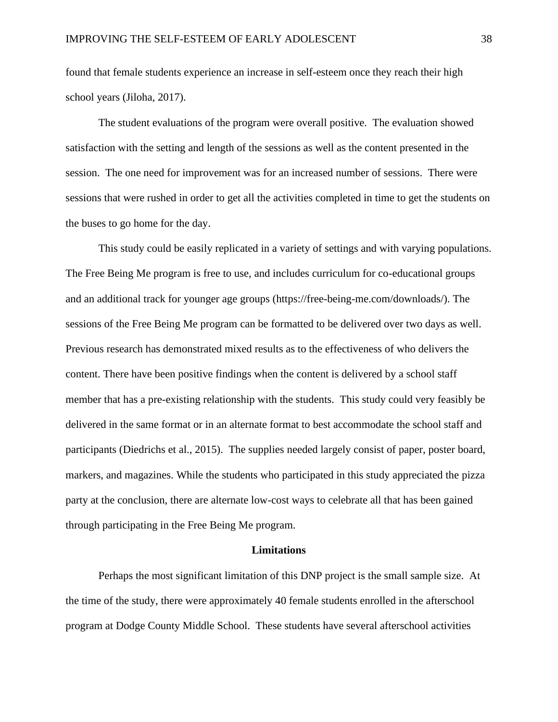found that female students experience an increase in self-esteem once they reach their high school years (Jiloha, 2017).

The student evaluations of the program were overall positive. The evaluation showed satisfaction with the setting and length of the sessions as well as the content presented in the session. The one need for improvement was for an increased number of sessions. There were sessions that were rushed in order to get all the activities completed in time to get the students on the buses to go home for the day.

This study could be easily replicated in a variety of settings and with varying populations. The Free Being Me program is free to use, and includes curriculum for co-educational groups and an additional track for younger age groups (https://free-being-me.com/downloads/). The sessions of the Free Being Me program can be formatted to be delivered over two days as well. Previous research has demonstrated mixed results as to the effectiveness of who delivers the content. There have been positive findings when the content is delivered by a school staff member that has a pre-existing relationship with the students. This study could very feasibly be delivered in the same format or in an alternate format to best accommodate the school staff and participants (Diedrichs et al., 2015). The supplies needed largely consist of paper, poster board, markers, and magazines. While the students who participated in this study appreciated the pizza party at the conclusion, there are alternate low-cost ways to celebrate all that has been gained through participating in the Free Being Me program.

#### **Limitations**

Perhaps the most significant limitation of this DNP project is the small sample size. At the time of the study, there were approximately 40 female students enrolled in the afterschool program at Dodge County Middle School. These students have several afterschool activities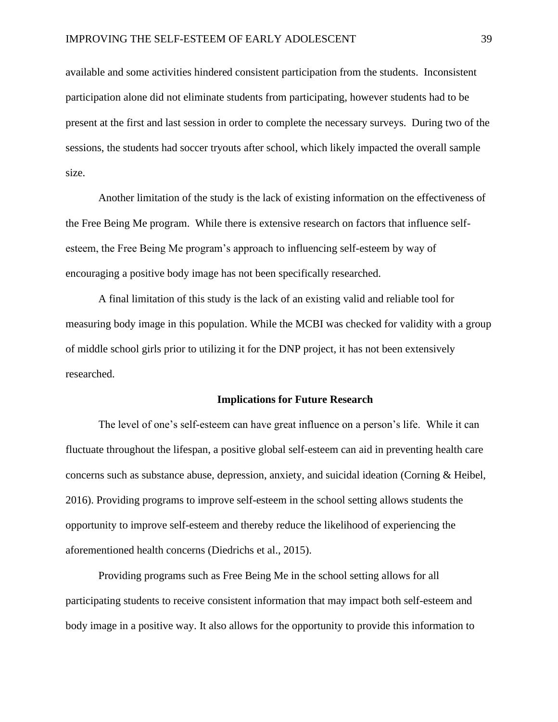available and some activities hindered consistent participation from the students. Inconsistent participation alone did not eliminate students from participating, however students had to be present at the first and last session in order to complete the necessary surveys. During two of the sessions, the students had soccer tryouts after school, which likely impacted the overall sample size.

Another limitation of the study is the lack of existing information on the effectiveness of the Free Being Me program. While there is extensive research on factors that influence selfesteem, the Free Being Me program's approach to influencing self-esteem by way of encouraging a positive body image has not been specifically researched.

A final limitation of this study is the lack of an existing valid and reliable tool for measuring body image in this population. While the MCBI was checked for validity with a group of middle school girls prior to utilizing it for the DNP project, it has not been extensively researched.

#### **Implications for Future Research**

The level of one's self-esteem can have great influence on a person's life. While it can fluctuate throughout the lifespan, a positive global self-esteem can aid in preventing health care concerns such as substance abuse, depression, anxiety, and suicidal ideation (Corning & Heibel, 2016). Providing programs to improve self-esteem in the school setting allows students the opportunity to improve self-esteem and thereby reduce the likelihood of experiencing the aforementioned health concerns (Diedrichs et al., 2015).

Providing programs such as Free Being Me in the school setting allows for all participating students to receive consistent information that may impact both self-esteem and body image in a positive way. It also allows for the opportunity to provide this information to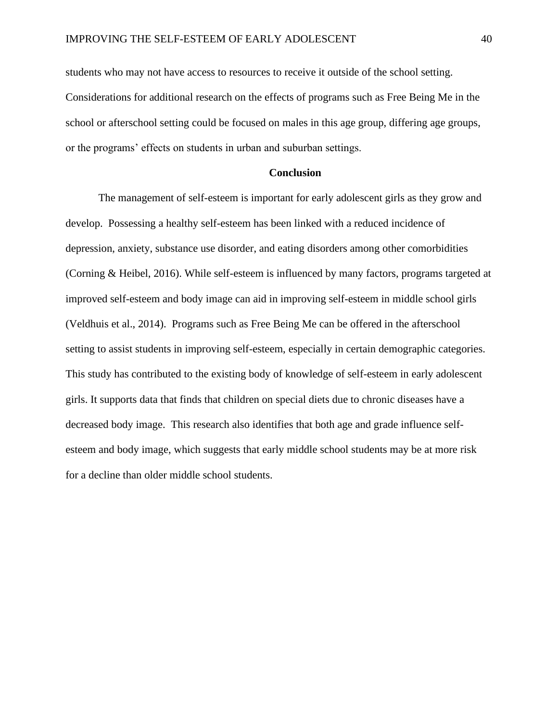students who may not have access to resources to receive it outside of the school setting. Considerations for additional research on the effects of programs such as Free Being Me in the school or afterschool setting could be focused on males in this age group, differing age groups, or the programs' effects on students in urban and suburban settings.

# **Conclusion**

The management of self-esteem is important for early adolescent girls as they grow and develop. Possessing a healthy self-esteem has been linked with a reduced incidence of depression, anxiety, substance use disorder, and eating disorders among other comorbidities (Corning & Heibel, 2016). While self-esteem is influenced by many factors, programs targeted at improved self-esteem and body image can aid in improving self-esteem in middle school girls (Veldhuis et al., 2014). Programs such as Free Being Me can be offered in the afterschool setting to assist students in improving self-esteem, especially in certain demographic categories. This study has contributed to the existing body of knowledge of self-esteem in early adolescent girls. It supports data that finds that children on special diets due to chronic diseases have a decreased body image. This research also identifies that both age and grade influence selfesteem and body image, which suggests that early middle school students may be at more risk for a decline than older middle school students.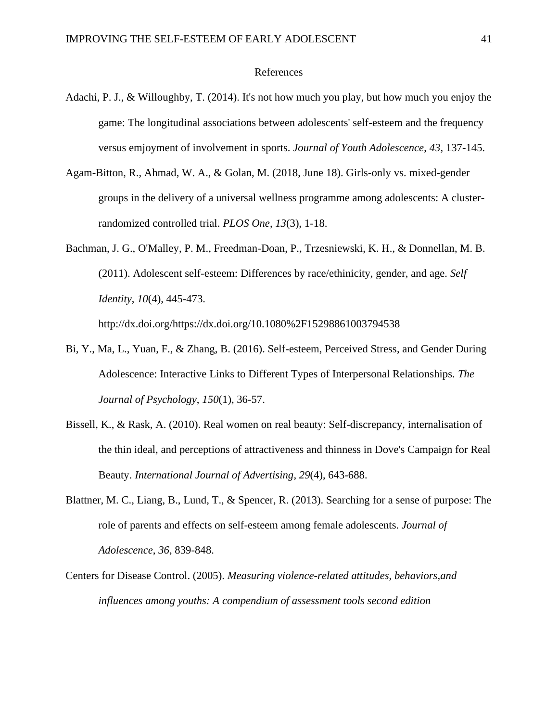#### References

- <span id="page-41-0"></span>Adachi, P. J., & Willoughby, T. (2014). It's not how much you play, but how much you enjoy the game: The longitudinal associations between adolescents' self-esteem and the frequency versus emjoyment of involvement in sports. *Journal of Youth Adolescence*, *43*, 137-145.
- Agam-Bitton, R., Ahmad, W. A., & Golan, M. (2018, June 18). Girls-only vs. mixed-gender groups in the delivery of a universal wellness programme among adolescents: A clusterrandomized controlled trial. *PLOS One*, *13*(3), 1-18.
- Bachman, J. G., O'Malley, P. M., Freedman-Doan, P., Trzesniewski, K. H., & Donnellan, M. B. (2011). Adolescent self-esteem: Differences by race/ethinicity, gender, and age. *Self Identity*, *10*(4), 445-473. http://dx.doi.org/https://dx.doi.org/10.1080%2F15298861003794538
- Bi, Y., Ma, L., Yuan, F., & Zhang, B. (2016). Self-esteem, Perceived Stress, and Gender During Adolescence: Interactive Links to Different Types of Interpersonal Relationships. *The Journal of Psychology*, *150*(1), 36-57.
- Bissell, K., & Rask, A. (2010). Real women on real beauty: Self-discrepancy, internalisation of the thin ideal, and perceptions of attractiveness and thinness in Dove's Campaign for Real Beauty. *International Journal of Advertising*, *29*(4), 643-688.
- Blattner, M. C., Liang, B., Lund, T., & Spencer, R. (2013). Searching for a sense of purpose: The role of parents and effects on self-esteem among female adolescents. *Journal of Adolescence*, *36*, 839-848.
- Centers for Disease Control. (2005). *Measuring violence-related attitudes, behaviors,and influences among youths: A compendium of assessment tools second edition*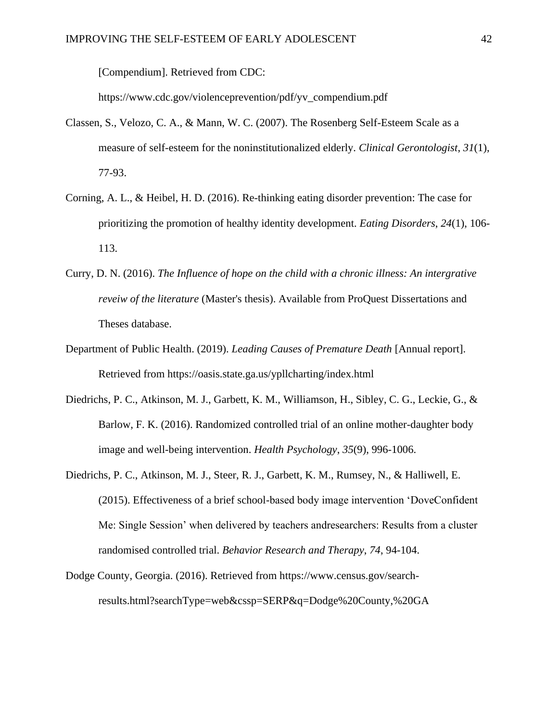[Compendium]. Retrieved from CDC:

https://www.cdc.gov/violenceprevention/pdf/yv\_compendium.pdf

- Classen, S., Velozo, C. A., & Mann, W. C. (2007). The Rosenberg Self-Esteem Scale as a measure of self-esteem for the noninstitutionalized elderly. *Clinical Gerontologist*, *31*(1), 77-93.
- Corning, A. L., & Heibel, H. D. (2016). Re-thinking eating disorder prevention: The case for prioritizing the promotion of healthy identity development. *Eating Disorders*, *24*(1), 106- 113.
- Curry, D. N. (2016). *The Influence of hope on the child with a chronic illness: An intergrative reveiw of the literature* (Master's thesis). Available from ProQuest Dissertations and Theses database.
- Department of Public Health. (2019). *Leading Causes of Premature Death* [Annual report]. Retrieved from https://oasis.state.ga.us/ypllcharting/index.html
- Diedrichs, P. C., Atkinson, M. J., Garbett, K. M., Williamson, H., Sibley, C. G., Leckie, G., & Barlow, F. K. (2016). Randomized controlled trial of an online mother-daughter body image and well-being intervention. *Health Psychology*, *35*(9), 996-1006.
- Diedrichs, P. C., Atkinson, M. J., Steer, R. J., Garbett, K. M., Rumsey, N., & Halliwell, E. (2015). Effectiveness of a brief school-based body image intervention 'DoveConfident Me: Single Session' when delivered by teachers andresearchers: Results from a cluster randomised controlled trial. *Behavior Research and Therapy*, *74*, 94-104.
- Dodge County, Georgia. (2016). Retrieved from https://www.census.gov/searchresults.html?searchType=web&cssp=SERP&q=Dodge%20County,%20GA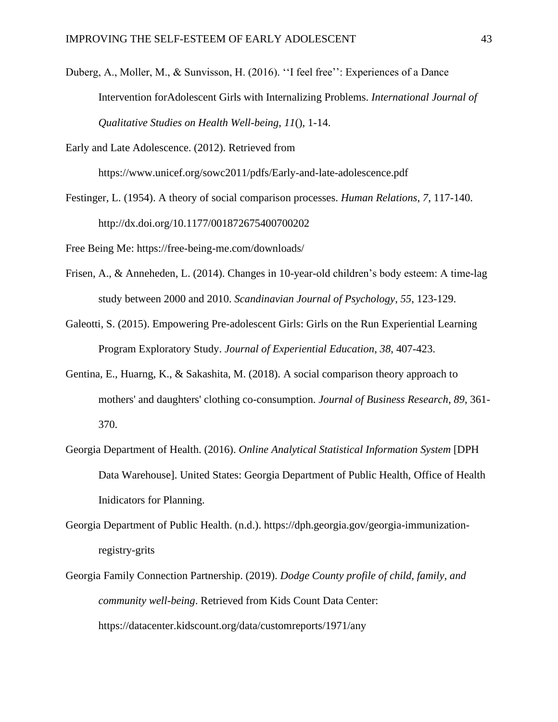Duberg, A., Moller, M., & Sunvisson, H. (2016). ''I feel free'': Experiences of a Dance Intervention forAdolescent Girls with Internalizing Problems. *International Journal of Qualitative Studies on Health Well-being*, *11*(), 1-14.

Early and Late Adolescence. (2012). Retrieved from

https://www.unicef.org/sowc2011/pdfs/Early-and-late-adolescence.pdf

Festinger, L. (1954). A theory of social comparison processes. *Human Relations*, *7*, 117-140. http://dx.doi.org/10.1177/001872675400700202

Free Being Me: https://free-being-me.com/downloads/

- Frisen, A., & Anneheden, L. (2014). Changes in 10-year-old children's body esteem: A time-lag study between 2000 and 2010. *Scandinavian Journal of Psychology*, *55*, 123-129.
- Galeotti, S. (2015). Empowering Pre-adolescent Girls: Girls on the Run Experiential Learning Program Exploratory Study. *Journal of Experiential Education*, *38*, 407-423.
- Gentina, E., Huarng, K., & Sakashita, M. (2018). A social comparison theory approach to mothers' and daughters' clothing co-consumption. *Journal of Business Research*, *89*, 361- 370.
- Georgia Department of Health. (2016). *Online Analytical Statistical Information System* [DPH Data Warehouse]. United States: Georgia Department of Public Health, Office of Health Inidicators for Planning.
- Georgia Department of Public Health. (n.d.). https://dph.georgia.gov/georgia-immunizationregistry-grits
- Georgia Family Connection Partnership. (2019). *Dodge County profile of child, family, and community well-being*. Retrieved from Kids Count Data Center: https://datacenter.kidscount.org/data/customreports/1971/any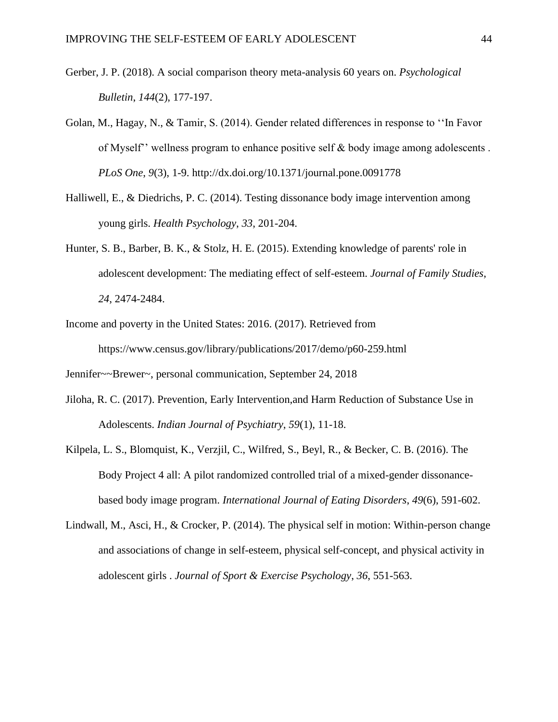- Gerber, J. P. (2018). A social comparison theory meta-analysis 60 years on. *Psychological Bulletin*, *144*(2), 177-197.
- Golan, M., Hagay, N., & Tamir, S. (2014). Gender related differences in response to ''In Favor of Myself'' wellness program to enhance positive self & body image among adolescents . *PLoS One*, *9*(3), 1-9. http://dx.doi.org/10.1371/journal.pone.0091778
- Halliwell, E., & Diedrichs, P. C. (2014). Testing dissonance body image intervention among young girls. *Health Psychology*, *33*, 201-204.
- Hunter, S. B., Barber, B. K., & Stolz, H. E. (2015). Extending knowledge of parents' role in adolescent development: The mediating effect of self-esteem. *Journal of Family Studies*, *24*, 2474-2484.
- Income and poverty in the United States: 2016. (2017). Retrieved from https://www.census.gov/library/publications/2017/demo/p60-259.html

Jennifer~~Brewer~, personal communication, September 24, 2018

- Jiloha, R. C. (2017). Prevention, Early Intervention,and Harm Reduction of Substance Use in Adolescents. *Indian Journal of Psychiatry*, *59*(1), 11-18.
- Kilpela, L. S., Blomquist, K., Verzjil, C., Wilfred, S., Beyl, R., & Becker, C. B. (2016). The Body Project 4 all: A pilot randomized controlled trial of a mixed-gender dissonancebased body image program. *International Journal of Eating Disorders*, *49*(6), 591-602.
- Lindwall, M., Asci, H., & Crocker, P. (2014). The physical self in motion: Within-person change and associations of change in self-esteem, physical self-concept, and physical activity in adolescent girls . *Journal of Sport & Exercise Psychology*, *36*, 551-563.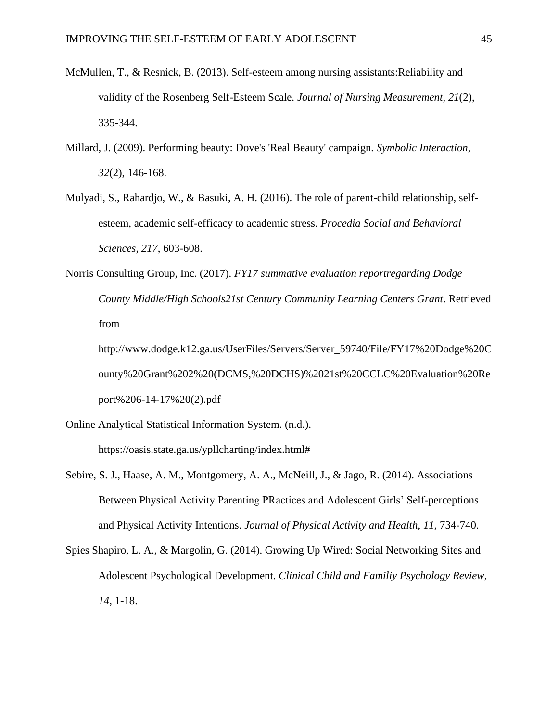- McMullen, T., & Resnick, B. (2013). Self-esteem among nursing assistants:Reliability and validity of the Rosenberg Self-Esteem Scale. *Journal of Nursing Measurement*, *21*(2), 335-344.
- Millard, J. (2009). Performing beauty: Dove's 'Real Beauty' campaign. *Symbolic Interaction*, *32*(2), 146-168.
- Mulyadi, S., Rahardjo, W., & Basuki, A. H. (2016). The role of parent-child relationship, selfesteem, academic self-efficacy to academic stress. *Procedia Social and Behavioral Sciences*, *217*, 603-608.
- Norris Consulting Group, Inc. (2017). *FY17 summative evaluation reportregarding Dodge County Middle/High Schools21st Century Community Learning Centers Grant*. Retrieved from

http://www.dodge.k12.ga.us/UserFiles/Servers/Server\_59740/File/FY17%20Dodge%20C ounty%20Grant%202%20(DCMS,%20DCHS)%2021st%20CCLC%20Evaluation%20Re port%206-14-17%20(2).pdf

- Online Analytical Statistical Information System. (n.d.). https://oasis.state.ga.us/ypllcharting/index.html#
- Sebire, S. J., Haase, A. M., Montgomery, A. A., McNeill, J., & Jago, R. (2014). Associations Between Physical Activity Parenting PRactices and Adolescent Girls' Self-perceptions and Physical Activity Intentions. *Journal of Physical Activity and Health*, *11*, 734-740.
- Spies Shapiro, L. A., & Margolin, G. (2014). Growing Up Wired: Social Networking Sites and Adolescent Psychological Development. *Clinical Child and Familiy Psychology Review*, *14*, 1-18.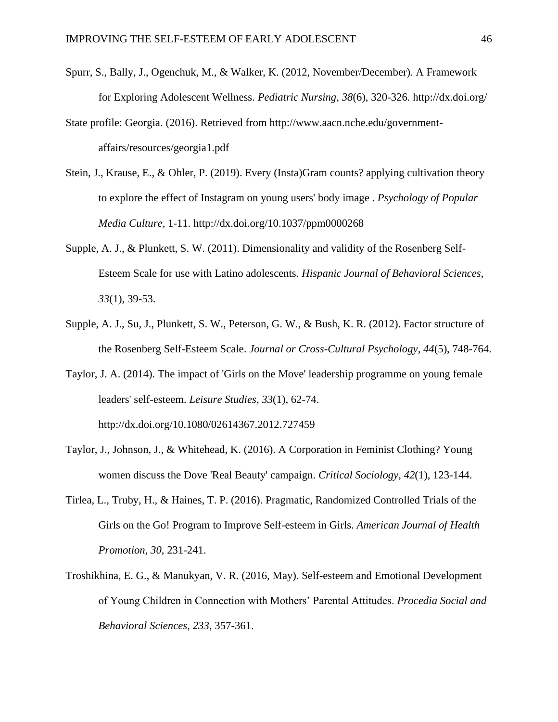- Spurr, S., Bally, J., Ogenchuk, M., & Walker, K. (2012, November/December). A Framework for Exploring Adolescent Wellness. *Pediatric Nursing*, *38*(6), 320-326. http://dx.doi.org/
- State profile: Georgia. (2016). Retrieved from http://www.aacn.nche.edu/governmentaffairs/resources/georgia1.pdf
- Stein, J., Krause, E., & Ohler, P. (2019). Every (Insta)Gram counts? applying cultivation theory to explore the effect of Instagram on young users' body image . *Psychology of Popular Media Culture*, 1-11. http://dx.doi.org/10.1037/ppm0000268
- Supple, A. J., & Plunkett, S. W. (2011). Dimensionality and validity of the Rosenberg Self-Esteem Scale for use with Latino adolescents. *Hispanic Journal of Behavioral Sciences*, *33*(1), 39-53.
- Supple, A. J., Su, J., Plunkett, S. W., Peterson, G. W., & Bush, K. R. (2012). Factor structure of the Rosenberg Self-Esteem Scale. *Journal or Cross-Cultural Psychology*, *44*(5), 748-764.
- Taylor, J. A. (2014). The impact of 'Girls on the Move' leadership programme on young female leaders' self-esteem. *Leisure Studies*, *33*(1), 62-74. http://dx.doi.org/10.1080/02614367.2012.727459
- Taylor, J., Johnson, J., & Whitehead, K. (2016). A Corporation in Feminist Clothing? Young women discuss the Dove 'Real Beauty' campaign. *Critical Sociology*, *42*(1), 123-144.
- Tirlea, L., Truby, H., & Haines, T. P. (2016). Pragmatic, Randomized Controlled Trials of the Girls on the Go! Program to Improve Self-esteem in Girls. *American Journal of Health Promotion*, *30*, 231-241.
- Troshikhina, E. G., & Manukyan, V. R. (2016, May). Self-esteem and Emotional Development of Young Children in Connection with Mothers' Parental Attitudes. *Procedia Social and Behavioral Sciences*, *233*, 357-361.